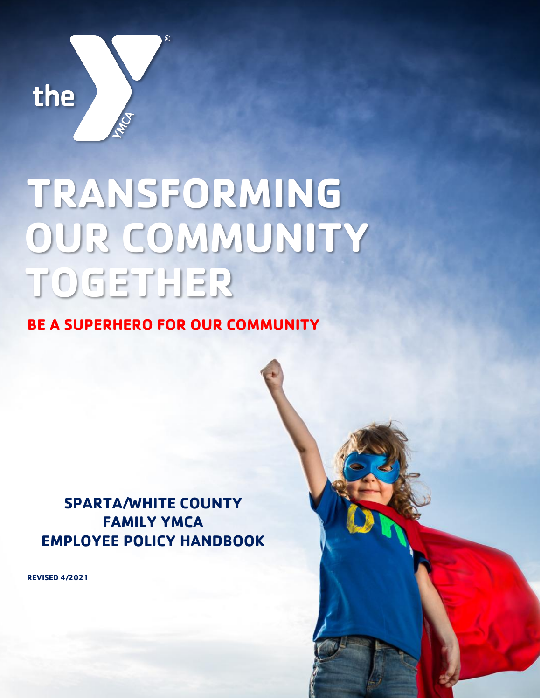

# **TRANSFORMING OUR COMMUNITY TOGETHER**

## **BE A SUPERHERO FOR OUR COMMUNITY**

## **SPARTA/WHITE COUNTY FAMILY YMCA EMPLOYEE POLICY HANDBOOK**

Page **1** of **51**

**REVISED 4/2021**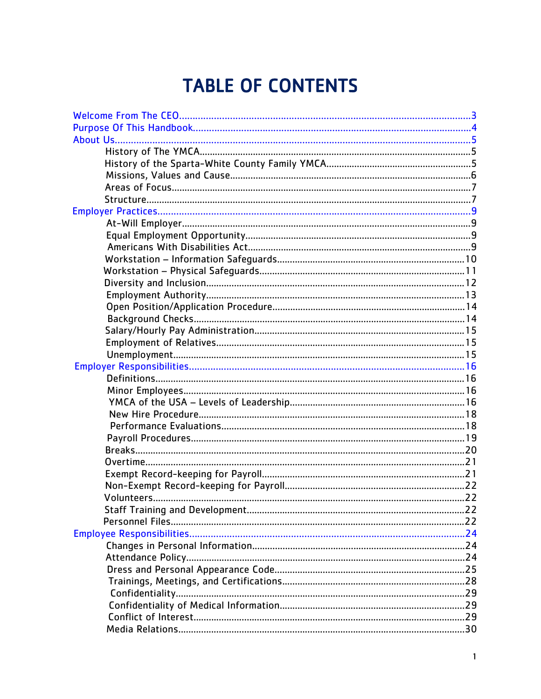## **TABLE OF CONTENTS**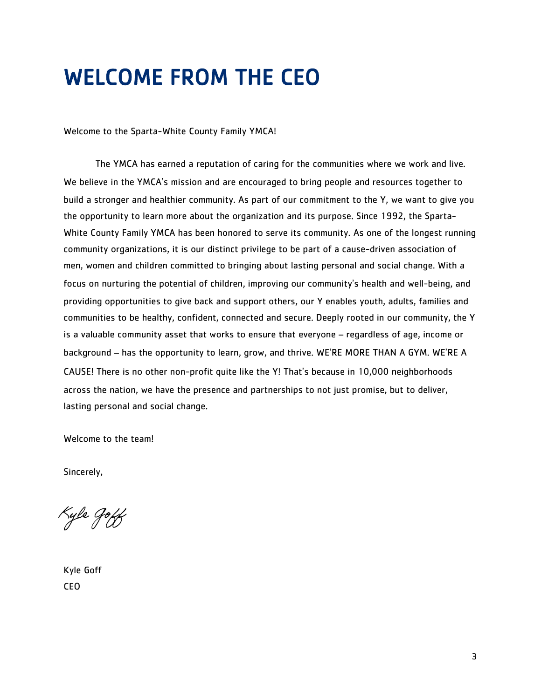## <span id="page-3-0"></span>WELCOME FROM THE CEO

Welcome to the Sparta-White County Family YMCA!

The YMCA has earned a reputation of caring for the communities where we work and live. We believe in the YMCA's mission and are encouraged to bring people and resources together to build a stronger and healthier community. As part of our commitment to the Y, we want to give you the opportunity to learn more about the organization and its purpose. Since 1992, the Sparta-White County Family YMCA has been honored to serve its community. As one of the longest running community organizations, it is our distinct privilege to be part of a cause-driven association of men, women and children committed to bringing about lasting personal and social change. With a focus on nurturing the potential of children, improving our community's health and well-being, and providing opportunities to give back and support others, our Y enables youth, adults, families and communities to be healthy, confident, connected and secure. Deeply rooted in our community, the Y is a valuable community asset that works to ensure that everyone – regardless of age, income or background – has the opportunity to learn, grow, and thrive. WE'RE MORE THAN A GYM. WE'RE A CAUSE! There is no other non-profit quite like the Y! That's because in 10,000 neighborhoods across the nation, we have the presence and partnerships to not just promise, but to deliver, lasting personal and social change.

Welcome to the team!

Sincerely,

Kyle Joff

Kyle Goff CEO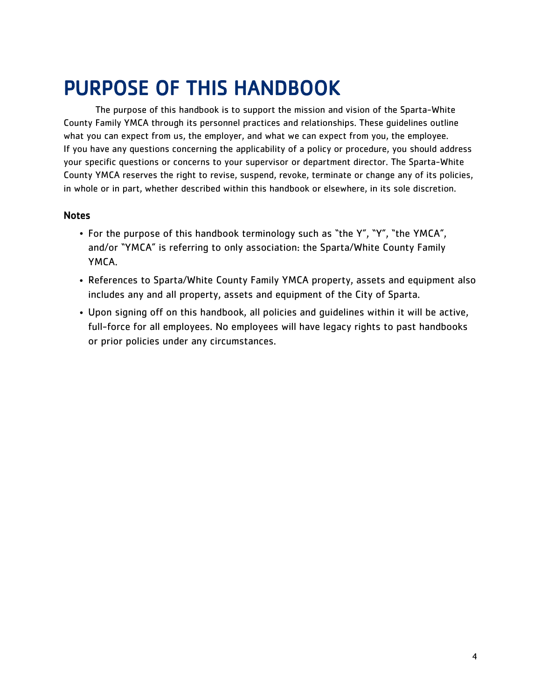## <span id="page-4-0"></span>PURPOSE OF THIS HANDBOOK

The purpose of this handbook is to support the mission and vision of the Sparta-White County Family YMCA through its personnel practices and relationships. These guidelines outline what you can expect from us, the employer, and what we can expect from you, the employee. If you have any questions concerning the applicability of a policy or procedure, you should address your specific questions or concerns to your supervisor or department director. The Sparta-White County YMCA reserves the right to revise, suspend, revoke, terminate or change any of its policies, in whole or in part, whether described within this handbook or elsewhere, in its sole discretion.

#### **Notes**

- For the purpose of this handbook terminology such as "the Y", "Y", "the YMCA", and/or "YMCA" is referring to only association: the Sparta/White County Family YMCA.
- References to Sparta/White County Family YMCA property, assets and equipment also includes any and all property, assets and equipment of the City of Sparta.
- Upon signing off on this handbook, all policies and guidelines within it will be active, full-force for all employees. No employees will have legacy rights to past handbooks or prior policies under any circumstances.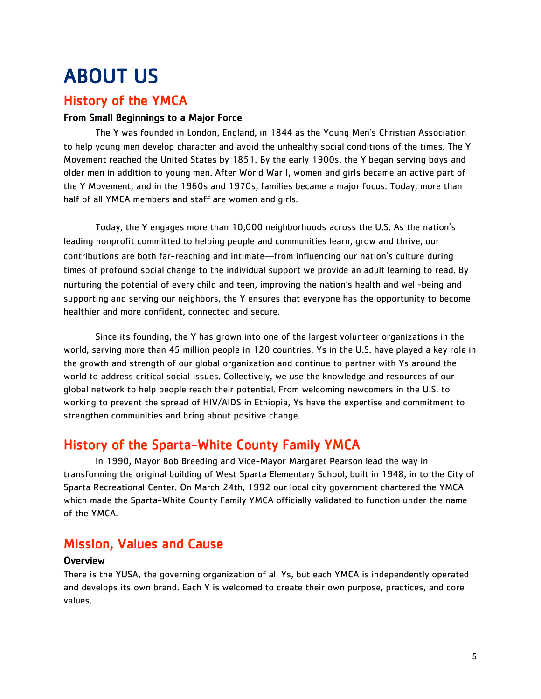## <span id="page-5-0"></span>ABOUT US

## History of the YMCA

#### From Small Beginnings to a Major Force

The Y was founded in London, England, in 1844 as the Young Men's Christian Association to help young men develop character and avoid the unhealthy social conditions of the times. The Y Movement reached the United States by 1851. By the early 1900s, the Y began serving boys and older men in addition to young men. After World War I, women and girls became an active part of the Y Movement, and in the 1960s and 1970s, families became a major focus. Today, more than half of all YMCA members and staff are women and girls.

Today, the Y engages more than 10,000 neighborhoods across the U.S. As the nation's leading nonprofit committed to helping people and communities learn, grow and thrive, our contributions are both far-reaching and intimate—from influencing our nation's culture during times of profound social change to the individual support we provide an adult learning to read. By nurturing the potential of every child and teen, improving the nation's health and well-being and supporting and serving our neighbors, the Y ensures that everyone has the opportunity to become healthier and more confident, connected and secure.

Since its founding, the Y has grown into one of the largest volunteer organizations in the world, serving more than 45 million people in 120 countries. Ys in the U.S. have played a key role in the growth and strength of our global organization and continue to partner with Ys around the world to address critical social issues. Collectively, we use the knowledge and resources of our global network to help people reach their potential. From welcoming newcomers in the U.S. to working to prevent the spread of HIV/AIDS in Ethiopia, Ys have the expertise and commitment to strengthen communities and bring about positive change.

## History of the Sparta-White County Family YMCA

In 1990, Mayor Bob Breeding and Vice-Mayor Margaret Pearson lead the way in transforming the original building of West Sparta Elementary School, built in 1948, in to the City of Sparta Recreational Center. On March 24th, 1992 our local city government chartered the YMCA which made the Sparta-White County Family YMCA officially validated to function under the name of the YMCA.

## Mission, Values and Cause

#### **Overview**

There is the YUSA, the governing organization of all Ys, but each YMCA is independently operated and develops its own brand. Each Y is welcomed to create their own purpose, practices, and core values.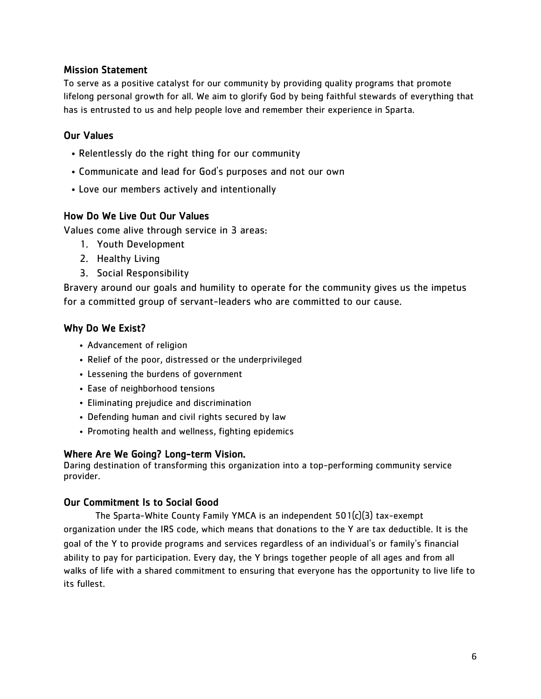#### Mission Statement

To serve as a positive catalyst for our community by providing quality programs that promote lifelong personal growth for all. We aim to glorify God by being faithful stewards of everything that has is entrusted to us and help people love and remember their experience in Sparta.

#### Our Values

- Relentlessly do the right thing for our community
- Communicate and lead for God's purposes and not our own
- Love our members actively and intentionally

#### How Do We Live Out Our Values

Values come alive through service in 3 areas:

- 1. Youth Development
- 2. Healthy Living
- 3. Social Responsibility

Bravery around our goals and humility to operate for the community gives us the impetus for a committed group of servant-leaders who are committed to our cause.

#### Why Do We Exist?

- Advancement of religion
- Relief of the poor, distressed or the underprivileged
- Lessening the burdens of government
- Ease of neighborhood tensions
- Eliminating prejudice and discrimination
- Defending human and civil rights secured by law
- Promoting health and wellness, fighting epidemics

#### Where Are We Going? Long-term Vision.

Daring destination of transforming this organization into a top-performing community service provider.

#### Our Commitment Is to Social Good

The Sparta-White County Family YMCA is an independent 501(c)(3) tax-exempt organization under the IRS code, which means that donations to the Y are tax deductible. It is the goal of the Y to provide programs and services regardless of an individual's or family's financial ability to pay for participation. Every day, the Y brings together people of all ages and from all walks of life with a shared commitment to ensuring that everyone has the opportunity to live life to its fullest.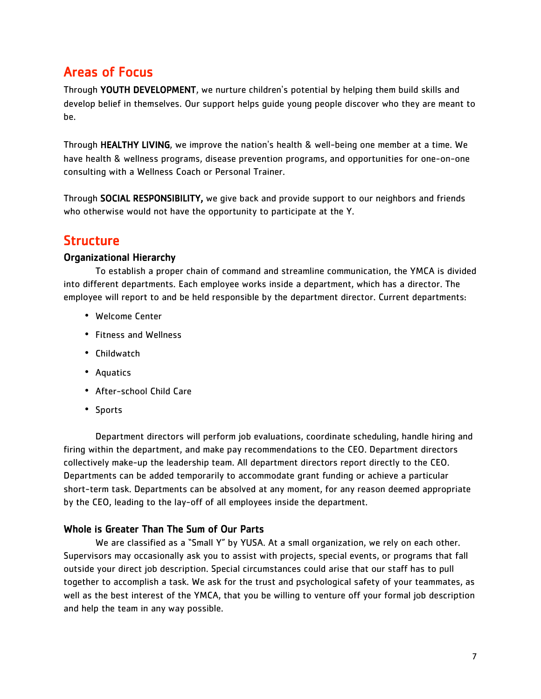## Areas of Focus

Through YOUTH DEVELOPMENT, we nurture children's potential by helping them build skills and develop belief in themselves. Our support helps guide young people discover who they are meant to be.

Through HEALTHY LIVING, we improve the nation's health & well-being one member at a time. We have health & wellness programs, disease prevention programs, and opportunities for one-on-one consulting with a Wellness Coach or Personal Trainer.

Through SOCIAL RESPONSIBILITY, we give back and provide support to our neighbors and friends who otherwise would not have the opportunity to participate at the Y.

### Structure

#### Organizational Hierarchy

To establish a proper chain of command and streamline communication, the YMCA is divided into different departments. Each employee works inside a department, which has a director. The employee will report to and be held responsible by the department director. Current departments:

- Welcome Center
- Fitness and Wellness
- Childwatch
- Aquatics
- After-school Child Care
- Sports

Department directors will perform job evaluations, coordinate scheduling, handle hiring and firing within the department, and make pay recommendations to the CEO. Department directors collectively make-up the leadership team. All department directors report directly to the CEO. Departments can be added temporarily to accommodate grant funding or achieve a particular short-term task. Departments can be absolved at any moment, for any reason deemed appropriate by the CEO, leading to the lay-off of all employees inside the department.

#### Whole is Greater Than The Sum of Our Parts

We are classified as a "Small Y" by YUSA. At a small organization, we rely on each other. Supervisors may occasionally ask you to assist with projects, special events, or programs that fall outside your direct job description. Special circumstances could arise that our staff has to pull together to accomplish a task. We ask for the trust and psychological safety of your teammates, as well as the best interest of the YMCA, that you be willing to venture off your formal job description and help the team in any way possible.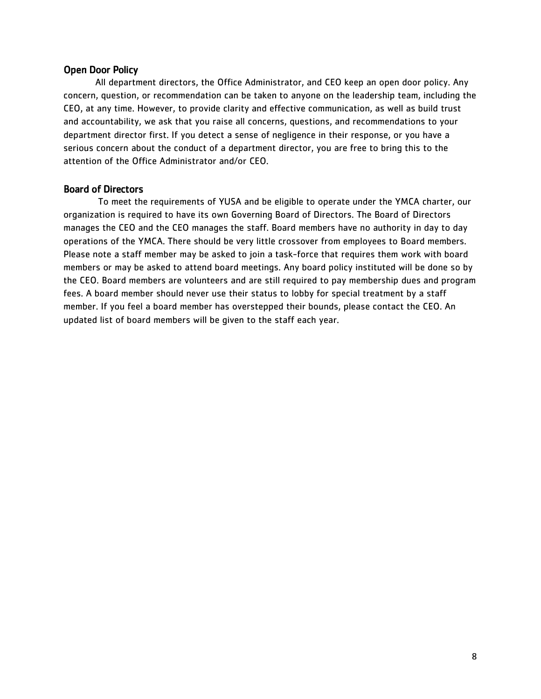#### Open Door Policy

All department directors, the Office Administrator, and CEO keep an open door policy. Any concern, question, or recommendation can be taken to anyone on the leadership team, including the CEO, at any time. However, to provide clarity and effective communication, as well as build trust and accountability, we ask that you raise all concerns, questions, and recommendations to your department director first. If you detect a sense of negligence in their response, or you have a serious concern about the conduct of a department director, you are free to bring this to the attention of the Office Administrator and/or CEO.

#### Board of Directors

To meet the requirements of YUSA and be eligible to operate under the YMCA charter, our organization is required to have its own Governing Board of Directors. The Board of Directors manages the CEO and the CEO manages the staff. Board members have no authority in day to day operations of the YMCA. There should be very little crossover from employees to Board members. Please note a staff member may be asked to join a task-force that requires them work with board members or may be asked to attend board meetings. Any board policy instituted will be done so by the CEO. Board members are volunteers and are still required to pay membership dues and program fees. A board member should never use their status to lobby for special treatment by a staff member. If you feel a board member has overstepped their bounds, please contact the CEO. An updated list of board members will be given to the staff each year.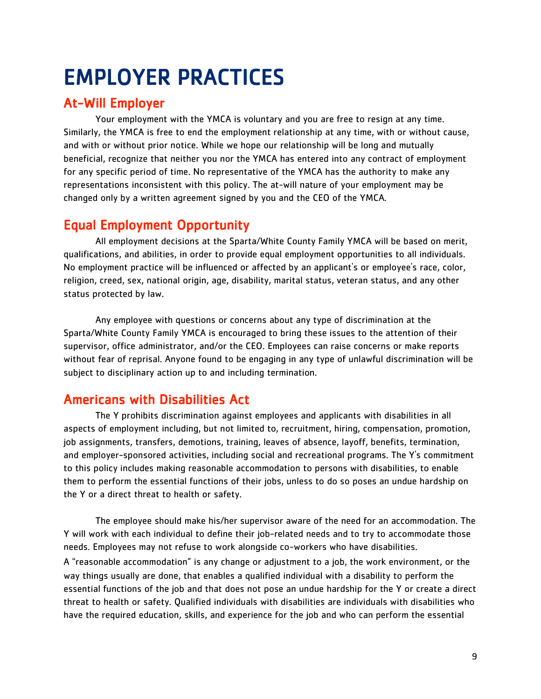## <span id="page-9-0"></span>EMPLOYER PRACTICES

## At-Will Employer

Your employment with the YMCA is voluntary and you are free to resign at any time. Similarly, the YMCA is free to end the employment relationship at any time, with or without cause, and with or without prior notice. While we hope our relationship will be long and mutually beneficial, recognize that neither you nor the YMCA has entered into any contract of employment for any specific period of time. No representative of the YMCA has the authority to make any representations inconsistent with this policy. The at-will nature of your employment may be changed only by a written agreement signed by you and the CEO of the YMCA.

## Equal Employment Opportunity

All employment decisions at the Sparta/White County Family YMCA will be based on merit, qualifications, and abilities, in order to provide equal employment opportunities to all individuals. No employment practice will be influenced or affected by an applicant's or employee's race, color, religion, creed, sex, national origin, age, disability, marital status, veteran status, and any other status protected by law.

Any employee with questions or concerns about any type of discrimination at the Sparta/White County Family YMCA is encouraged to bring these issues to the attention of their supervisor, office administrator, and/or the CEO. Employees can raise concerns or make reports without fear of reprisal. Anyone found to be engaging in any type of unlawful discrimination will be subject to disciplinary action up to and including termination.

## Americans with Disabilities Act

The Y prohibits discrimination against employees and applicants with disabilities in all aspects of employment including, but not limited to, recruitment, hiring, compensation, promotion, job assignments, transfers, demotions, training, leaves of absence, layoff, benefits, termination, and employer-sponsored activities, including social and recreational programs. The Y's commitment to this policy includes making reasonable accommodation to persons with disabilities, to enable them to perform the essential functions of their jobs, unless to do so poses an undue hardship on the Y or a direct threat to health or safety.

The employee should make his/her supervisor aware of the need for an accommodation. The Y will work with each individual to define their job-related needs and to try to accommodate those needs. Employees may not refuse to work alongside co-workers who have disabilities. A "reasonable accommodation" is any change or adjustment to a job, the work environment, or the way things usually are done, that enables a qualified individual with a disability to perform the essential functions of the job and that does not pose an undue hardship for the Y or create a direct threat to health or safety. Qualified individuals with disabilities are individuals with disabilities who have the required education, skills, and experience for the job and who can perform the essential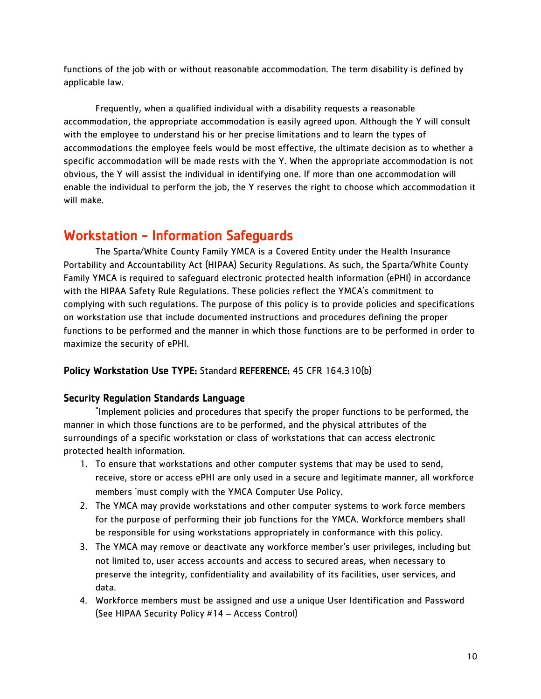functions of the job with or without reasonable accommodation. The term disability is defined by applicable law.

Frequently, when a qualified individual with a disability requests a reasonable accommodation, the appropriate accommodation is easily agreed upon. Although the Y will consult with the employee to understand his or her precise limitations and to learn the types of accommodations the employee feels would be most effective, the ultimate decision as to whether a specific accommodation will be made rests with the Y. When the appropriate accommodation is not obvious, the Y will assist the individual in identifying one. If more than one accommodation will enable the individual to perform the job, the Y reserves the right to choose which accommodation it will make.

## Workstation - Information Safeguards

The Sparta/White County Family YMCA is a Covered Entity under the Health Insurance Portability and Accountability Act (HIPAA) Security Regulations. As such, the Sparta/White County Family YMCA is required to safeguard electronic protected health information (ePHI) in accordance with the HIPAA Safety Rule Regulations. These policies reflect the YMCA's commitment to complying with such regulations. The purpose of this policy is to provide policies and specifications on workstation use that include documented instructions and procedures defining the proper functions to be performed and the manner in which those functions are to be performed in order to maximize the security of ePHI.

#### Policy Workstation Use TYPE: Standard REFERENCE: 45 CFR 164.310(b)

#### Security Regulation Standards Language

"Implement policies and procedures that specify the proper functions to be performed, the manner in which those functions are to be performed, and the physical attributes of the surroundings of a specific workstation or class of workstations that can access electronic protected health information.

- 1. To ensure that workstations and other computer systems that may be used to send, receive, store or access ePHI are only used in a secure and legitimate manner, all workforce members 'must comply with the YMCA Computer Use Policy.
- 2. The YMCA may provide workstations and other computer systems to work force members for the purpose of performing their job functions for the YMCA. Workforce members shall be responsible for using workstations appropriately in conformance with this policy.
- 3. The YMCA may remove or deactivate any workforce member's user privileges, including but not limited to, user access accounts and access to secured areas, when necessary to preserve the integrity, confidentiality and availability of its facilities, user services, and data.
- 4. Workforce members must be assigned and use a unique User Identification and Password (See HIPAA Security Policy #14 – Access Control)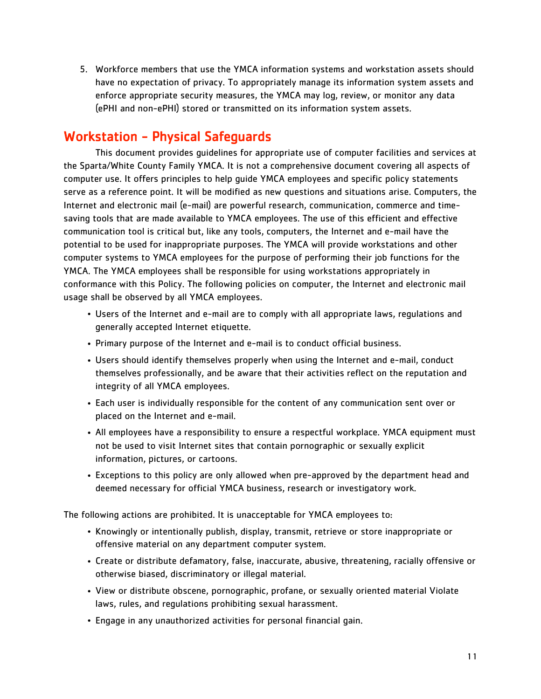5. Workforce members that use the YMCA information systems and workstation assets should have no expectation of privacy. To appropriately manage its information system assets and enforce appropriate security measures, the YMCA may log, review, or monitor any data (ePHI and non-ePHI) stored or transmitted on its information system assets.

## Workstation - Physical Safeguards

This document provides guidelines for appropriate use of computer facilities and services at the Sparta/White County Family YMCA. It is not a comprehensive document covering all aspects of computer use. It offers principles to help guide YMCA employees and specific policy statements serve as a reference point. It will be modified as new questions and situations arise. Computers, the Internet and electronic mail (e-mail) are powerful research, communication, commerce and timesaving tools that are made available to YMCA employees. The use of this efficient and effective communication tool is critical but, like any tools, computers, the Internet and e-mail have the potential to be used for inappropriate purposes. The YMCA will provide workstations and other computer systems to YMCA employees for the purpose of performing their job functions for the YMCA. The YMCA employees shall be responsible for using workstations appropriately in conformance with this Policy. The following policies on computer, the Internet and electronic mail usage shall be observed by all YMCA employees.

- Users of the Internet and e-mail are to comply with all appropriate laws, regulations and generally accepted Internet etiquette.
- Primary purpose of the Internet and e-mail is to conduct official business.
- Users should identify themselves properly when using the Internet and e-mail, conduct themselves professionally, and be aware that their activities reflect on the reputation and integrity of all YMCA employees.
- Each user is individually responsible for the content of any communication sent over or placed on the Internet and e-mail.
- All employees have a responsibility to ensure a respectful workplace. YMCA equipment must not be used to visit Internet sites that contain pornographic or sexually explicit information, pictures, or cartoons.
- Exceptions to this policy are only allowed when pre-approved by the department head and deemed necessary for official YMCA business, research or investigatory work.

The following actions are prohibited. It is unacceptable for YMCA employees to:

- Knowingly or intentionally publish, display, transmit, retrieve or store inappropriate or offensive material on any department computer system.
- Create or distribute defamatory, false, inaccurate, abusive, threatening, racially offensive or otherwise biased, discriminatory or illegal material.
- View or distribute obscene, pornographic, profane, or sexually oriented material Violate laws, rules, and regulations prohibiting sexual harassment.
- Engage in any unauthorized activities for personal financial gain.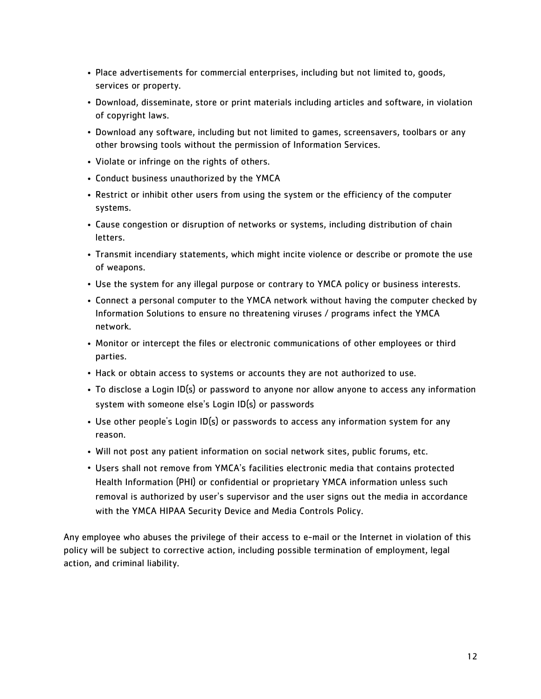- Place advertisements for commercial enterprises, including but not limited to, goods, services or property.
- Download, disseminate, store or print materials including articles and software, in violation of copyright laws.
- Download any software, including but not limited to games, screensavers, toolbars or any other browsing tools without the permission of Information Services.
- Violate or infringe on the rights of others.
- Conduct business unauthorized by the YMCA
- Restrict or inhibit other users from using the system or the efficiency of the computer systems.
- Cause congestion or disruption of networks or systems, including distribution of chain letters.
- Transmit incendiary statements, which might incite violence or describe or promote the use of weapons.
- Use the system for any illegal purpose or contrary to YMCA policy or business interests.
- Connect a personal computer to the YMCA network without having the computer checked by Information Solutions to ensure no threatening viruses / programs infect the YMCA network.
- Monitor or intercept the files or electronic communications of other employees or third parties.
- Hack or obtain access to systems or accounts they are not authorized to use.
- To disclose a Login ID(s) or password to anyone nor allow anyone to access any information system with someone else's Login ID(s) or passwords
- Use other people's Login ID(s) or passwords to access any information system for any reason.
- Will not post any patient information on social network sites, public forums, etc.
- Users shall not remove from YMCA's facilities electronic media that contains protected Health Information (PHI) or confidential or proprietary YMCA information unless such removal is authorized by user's supervisor and the user signs out the media in accordance with the YMCA HIPAA Security Device and Media Controls Policy.

Any employee who abuses the privilege of their access to e-mail or the Internet in violation of this policy will be subject to corrective action, including possible termination of employment, legal action, and criminal liability.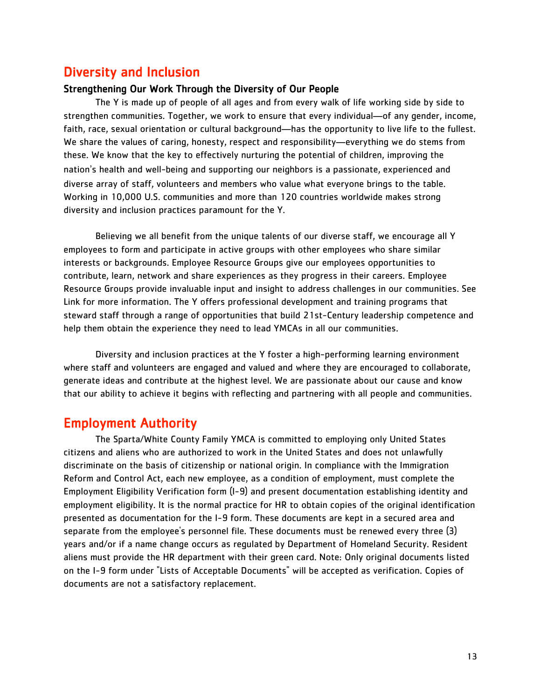### Diversity and Inclusion

#### Strengthening Our Work Through the Diversity of Our People

The Y is made up of people of all ages and from every walk of life working side by side to strengthen communities. Together, we work to ensure that every individual—of any gender, income, faith, race, sexual orientation or cultural background—has the opportunity to live life to the fullest. We share the values of caring, honesty, respect and responsibility—everything we do stems from these. We know that the key to effectively nurturing the potential of children, improving the nation's health and well-being and supporting our neighbors is a passionate, experienced and diverse array of staff, volunteers and members who value what everyone brings to the table. Working in 10,000 U.S. communities and more than 120 countries worldwide makes strong diversity and inclusion practices paramount for the Y.

Believing we all benefit from the unique talents of our diverse staff, we encourage all Y employees to form and participate in active groups with other employees who share similar interests or backgrounds. Employee Resource Groups give our employees opportunities to contribute, learn, network and share experiences as they progress in their careers. Employee Resource Groups provide invaluable input and insight to address challenges in our communities. See Link for more information. The Y offers professional development and training programs that steward staff through a range of opportunities that build 21st-Century leadership competence and help them obtain the experience they need to lead YMCAs in all our communities.

Diversity and inclusion practices at the Y foster a high-performing learning environment where staff and volunteers are engaged and valued and where they are encouraged to collaborate, generate ideas and contribute at the highest level. We are passionate about our cause and know that our ability to achieve it begins with reflecting and partnering with all people and communities.

#### Employment Authority

The Sparta/White County Family YMCA is committed to employing only United States citizens and aliens who are authorized to work in the United States and does not unlawfully discriminate on the basis of citizenship or national origin. In compliance with the Immigration Reform and Control Act, each new employee, as a condition of employment, must complete the Employment Eligibility Verification form (I-9) and present documentation establishing identity and employment eligibility. It is the normal practice for HR to obtain copies of the original identification presented as documentation for the I-9 form. These documents are kept in a secured area and separate from the employee's personnel file. These documents must be renewed every three (3) years and/or if a name change occurs as regulated by Department of Homeland Security. Resident aliens must provide the HR department with their green card. Note: Only original documents listed on the I-9 form under "Lists of Acceptable Documents" will be accepted as verification. Copies of documents are not a satisfactory replacement.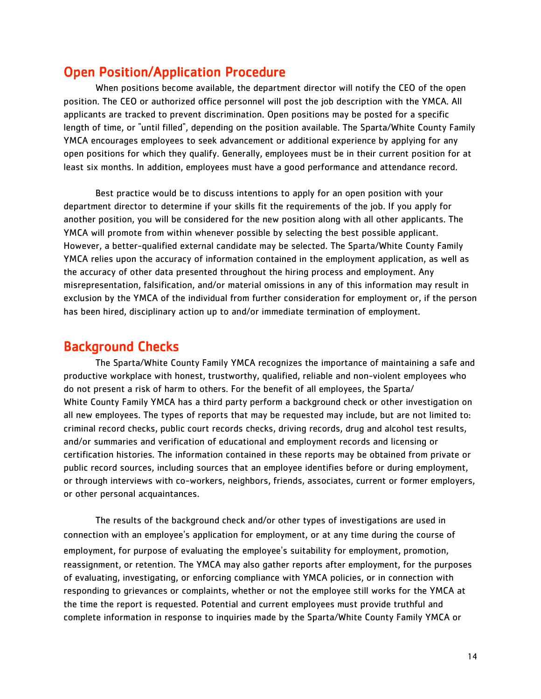## Open Position/Application Procedure

When positions become available, the department director will notify the CEO of the open position. The CEO or authorized office personnel will post the job description with the YMCA. All applicants are tracked to prevent discrimination. Open positions may be posted for a specific length of time, or "until filled", depending on the position available. The Sparta/White County Family YMCA encourages employees to seek advancement or additional experience by applying for any open positions for which they qualify. Generally, employees must be in their current position for at least six months. In addition, employees must have a good performance and attendance record.

Best practice would be to discuss intentions to apply for an open position with your department director to determine if your skills fit the requirements of the job. If you apply for another position, you will be considered for the new position along with all other applicants. The YMCA will promote from within whenever possible by selecting the best possible applicant. However, a better-qualified external candidate may be selected. The Sparta/White County Family YMCA relies upon the accuracy of information contained in the employment application, as well as the accuracy of other data presented throughout the hiring process and employment. Any misrepresentation, falsification, and/or material omissions in any of this information may result in exclusion by the YMCA of the individual from further consideration for employment or, if the person has been hired, disciplinary action up to and/or immediate termination of employment.

#### Background Checks

The Sparta/White County Family YMCA recognizes the importance of maintaining a safe and productive workplace with honest, trustworthy, qualified, reliable and non-violent employees who do not present a risk of harm to others. For the benefit of all employees, the Sparta/ White County Family YMCA has a third party perform a background check or other investigation on all new employees. The types of reports that may be requested may include, but are not limited to: criminal record checks, public court records checks, driving records, drug and alcohol test results, and/or summaries and verification of educational and employment records and licensing or certification histories. The information contained in these reports may be obtained from private or public record sources, including sources that an employee identifies before or during employment, or through interviews with co-workers, neighbors, friends, associates, current or former employers, or other personal acquaintances.

The results of the background check and/or other types of investigations are used in connection with an employee's application for employment, or at any time during the course of employment, for purpose of evaluating the employee's suitability for employment, promotion, reassignment, or retention. The YMCA may also gather reports after employment, for the purposes of evaluating, investigating, or enforcing compliance with YMCA policies, or in connection with responding to grievances or complaints, whether or not the employee still works for the YMCA at the time the report is requested. Potential and current employees must provide truthful and complete information in response to inquiries made by the Sparta/White County Family YMCA or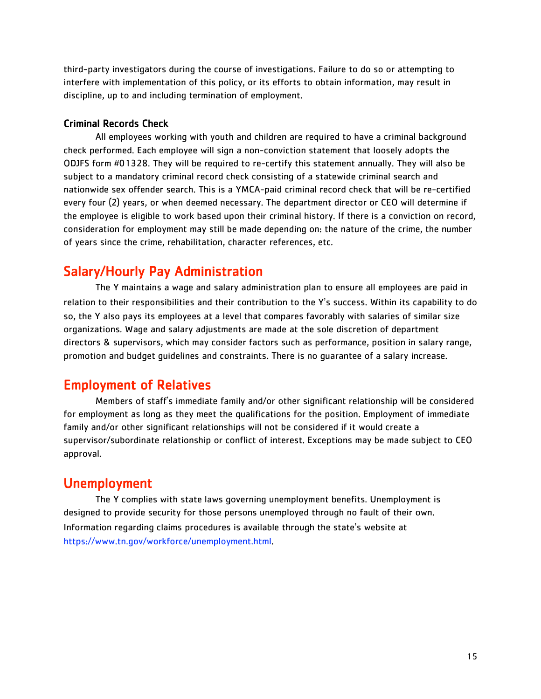third-party investigators during the course of investigations. Failure to do so or attempting to interfere with implementation of this policy, or its efforts to obtain information, may result in discipline, up to and including termination of employment.

#### Criminal Records Check

All employees working with youth and children are required to have a criminal background check performed. Each employee will sign a non-conviction statement that loosely adopts the ODJFS form #01328. They will be required to re-certify this statement annually. They will also be subject to a mandatory criminal record check consisting of a statewide criminal search and nationwide sex offender search. This is a YMCA-paid criminal record check that will be re-certified every four (2) years, or when deemed necessary. The department director or CEO will determine if the employee is eligible to work based upon their criminal history. If there is a conviction on record, consideration for employment may still be made depending on: the nature of the crime, the number of years since the crime, rehabilitation, character references, etc.

## Salary/Hourly Pay Administration

The Y maintains a wage and salary administration plan to ensure all employees are paid in relation to their responsibilities and their contribution to the Y's success. Within its capability to do so, the Y also pays its employees at a level that compares favorably with salaries of similar size organizations. Wage and salary adjustments are made at the sole discretion of department directors & supervisors, which may consider factors such as performance, position in salary range, promotion and budget guidelines and constraints. There is no guarantee of a salary increase.

## Employment of Relatives

Members of staff's immediate family and/or other significant relationship will be considered for employment as long as they meet the qualifications for the position. Employment of immediate family and/or other significant relationships will not be considered if it would create a supervisor/subordinate relationship or conflict of interest. Exceptions may be made subject to CEO approval.

## Unemployment

The Y complies with state laws governing unemployment benefits. Unemployment is designed to provide security for those persons unemployed through no fault of their own. Information regarding claims procedures is available through the state's website at https://www.tn.gov/workforce/unemployment.html.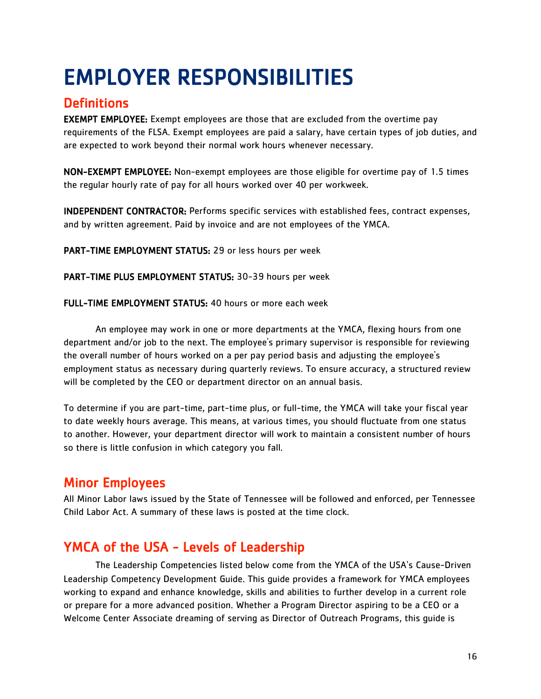## <span id="page-16-0"></span>EMPLOYER RESPONSIBILITIES

## **Definitions**

EXEMPT EMPLOYEE: Exempt employees are those that are excluded from the overtime pay requirements of the FLSA. Exempt employees are paid a salary, have certain types of job duties, and are expected to work beyond their normal work hours whenever necessary.

NON-EXEMPT EMPLOYEE: Non-exempt employees are those eligible for overtime pay of 1.5 times the regular hourly rate of pay for all hours worked over 40 per workweek.

INDEPENDENT CONTRACTOR: Performs specific services with established fees, contract expenses, and by written agreement. Paid by invoice and are not employees of the YMCA.

PART-TIME EMPLOYMENT STATUS: 29 or less hours per week

PART-TIME PLUS EMPLOYMENT STATUS: 30-39 hours per week

FULL-TIME EMPLOYMENT STATUS: 40 hours or more each week

An employee may work in one or more departments at the YMCA, flexing hours from one department and/or job to the next. The employee's primary supervisor is responsible for reviewing the overall number of hours worked on a per pay period basis and adjusting the employee's employment status as necessary during quarterly reviews. To ensure accuracy, a structured review will be completed by the CEO or department director on an annual basis.

To determine if you are part-time, part-time plus, or full-time, the YMCA will take your fiscal year to date weekly hours average. This means, at various times, you should fluctuate from one status to another. However, your department director will work to maintain a consistent number of hours so there is little confusion in which category you fall.

## Minor Employees

All Minor Labor laws issued by the State of Tennessee will be followed and enforced, per Tennessee Child Labor Act. A summary of these laws is posted at the time clock.

## YMCA of the USA - Levels of Leadership

The Leadership Competencies listed below come from the YMCA of the USA's Cause-Driven Leadership Competency Development Guide. This guide provides a framework for YMCA employees working to expand and enhance knowledge, skills and abilities to further develop in a current role or prepare for a more advanced position. Whether a Program Director aspiring to be a CEO or a Welcome Center Associate dreaming of serving as Director of Outreach Programs, this guide is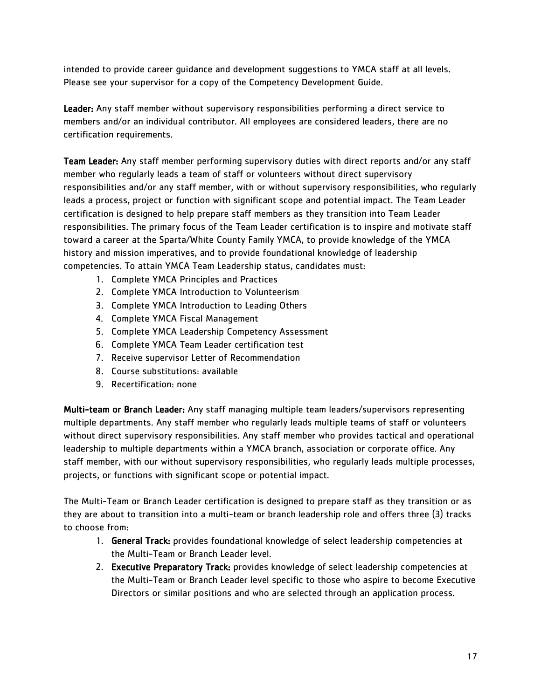intended to provide career guidance and development suggestions to YMCA staff at all levels. Please see your supervisor for a copy of the Competency Development Guide.

Leader: Any staff member without supervisory responsibilities performing a direct service to members and/or an individual contributor. All employees are considered leaders, there are no certification requirements.

Team Leader: Any staff member performing supervisory duties with direct reports and/or any staff member who regularly leads a team of staff or volunteers without direct supervisory responsibilities and/or any staff member, with or without supervisory responsibilities, who regularly leads a process, project or function with significant scope and potential impact. The Team Leader certification is designed to help prepare staff members as they transition into Team Leader responsibilities. The primary focus of the Team Leader certification is to inspire and motivate staff toward a career at the Sparta/White County Family YMCA, to provide knowledge of the YMCA history and mission imperatives, and to provide foundational knowledge of leadership competencies. To attain YMCA Team Leadership status, candidates must:

- 1. Complete YMCA Principles and Practices
- 2. Complete YMCA Introduction to Volunteerism
- 3. Complete YMCA Introduction to Leading Others
- 4. Complete YMCA Fiscal Management
- 5. Complete YMCA Leadership Competency Assessment
- 6. Complete YMCA Team Leader certification test
- 7. Receive supervisor Letter of Recommendation
- 8. Course substitutions: available
- 9. Recertification: none

Multi-team or Branch Leader: Any staff managing multiple team leaders/supervisors representing multiple departments. Any staff member who regularly leads multiple teams of staff or volunteers without direct supervisory responsibilities. Any staff member who provides tactical and operational leadership to multiple departments within a YMCA branch, association or corporate office. Any staff member, with our without supervisory responsibilities, who regularly leads multiple processes, projects, or functions with significant scope or potential impact.

The Multi-Team or Branch Leader certification is designed to prepare staff as they transition or as they are about to transition into a multi-team or branch leadership role and offers three (3) tracks to choose from:

- 1. General Track: provides foundational knowledge of select leadership competencies at the Multi-Team or Branch Leader level.
- 2. Executive Preparatory Track: provides knowledge of select leadership competencies at the Multi-Team or Branch Leader level specific to those who aspire to become Executive Directors or similar positions and who are selected through an application process.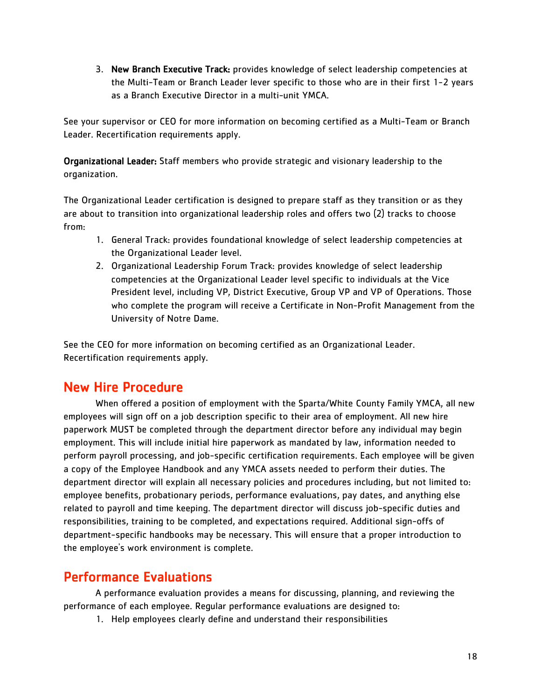3. New Branch Executive Track: provides knowledge of select leadership competencies at the Multi-Team or Branch Leader lever specific to those who are in their first 1-2 years as a Branch Executive Director in a multi-unit YMCA.

See your supervisor or CEO for more information on becoming certified as a Multi-Team or Branch Leader. Recertification requirements apply.

Organizational Leader: Staff members who provide strategic and visionary leadership to the organization.

The Organizational Leader certification is designed to prepare staff as they transition or as they are about to transition into organizational leadership roles and offers two (2) tracks to choose from:

- 1. General Track: provides foundational knowledge of select leadership competencies at the Organizational Leader level.
- 2. Organizational Leadership Forum Track: provides knowledge of select leadership competencies at the Organizational Leader level specific to individuals at the Vice President level, including VP, District Executive, Group VP and VP of Operations. Those who complete the program will receive a Certificate in Non-Profit Management from the University of Notre Dame.

See the CEO for more information on becoming certified as an Organizational Leader. Recertification requirements apply.

## New Hire Procedure

When offered a position of employment with the Sparta/White County Family YMCA, all new employees will sign off on a job description specific to their area of employment. All new hire paperwork MUST be completed through the department director before any individual may begin employment. This will include initial hire paperwork as mandated by law, information needed to perform payroll processing, and job-specific certification requirements. Each employee will be given a copy of the Employee Handbook and any YMCA assets needed to perform their duties. The department director will explain all necessary policies and procedures including, but not limited to: employee benefits, probationary periods, performance evaluations, pay dates, and anything else related to payroll and time keeping. The department director will discuss job-specific duties and responsibilities, training to be completed, and expectations required. Additional sign-offs of department-specific handbooks may be necessary. This will ensure that a proper introduction to the employee's work environment is complete.

## Performance Evaluations

A performance evaluation provides a means for discussing, planning, and reviewing the performance of each employee. Regular performance evaluations are designed to:

1. Help employees clearly define and understand their responsibilities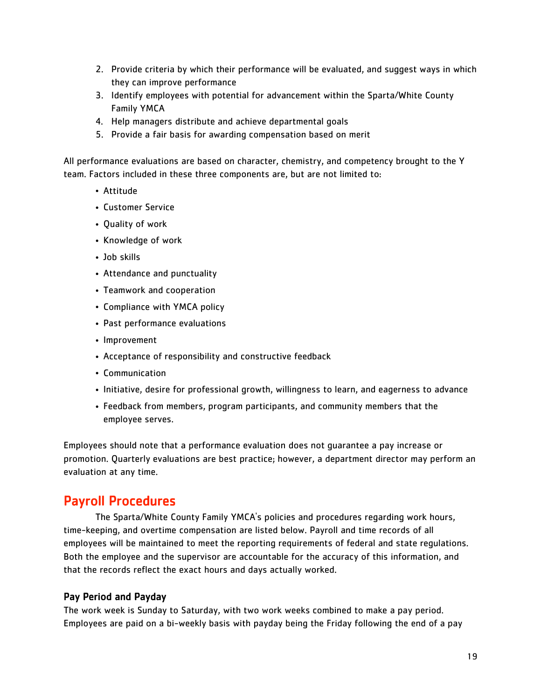- 2. Provide criteria by which their performance will be evaluated, and suggest ways in which they can improve performance
- 3. Identify employees with potential for advancement within the Sparta/White County Family YMCA
- 4. Help managers distribute and achieve departmental goals
- 5. Provide a fair basis for awarding compensation based on merit

All performance evaluations are based on character, chemistry, and competency brought to the Y team. Factors included in these three components are, but are not limited to:

- Attitude
- Customer Service
- Quality of work
- Knowledge of work
- Job skills
- Attendance and punctuality
- Teamwork and cooperation
- Compliance with YMCA policy
- Past performance evaluations
- Improvement
- Acceptance of responsibility and constructive feedback
- Communication
- Initiative, desire for professional growth, willingness to learn, and eagerness to advance
- Feedback from members, program participants, and community members that the employee serves.

Employees should note that a performance evaluation does not guarantee a pay increase or promotion. Quarterly evaluations are best practice; however, a department director may perform an evaluation at any time.

## Payroll Procedures

The Sparta/White County Family YMCA's policies and procedures regarding work hours, time-keeping, and overtime compensation are listed below. Payroll and time records of all employees will be maintained to meet the reporting requirements of federal and state regulations. Both the employee and the supervisor are accountable for the accuracy of this information, and that the records reflect the exact hours and days actually worked.

#### Pay Period and Payday

The work week is Sunday to Saturday, with two work weeks combined to make a pay period. Employees are paid on a bi-weekly basis with payday being the Friday following the end of a pay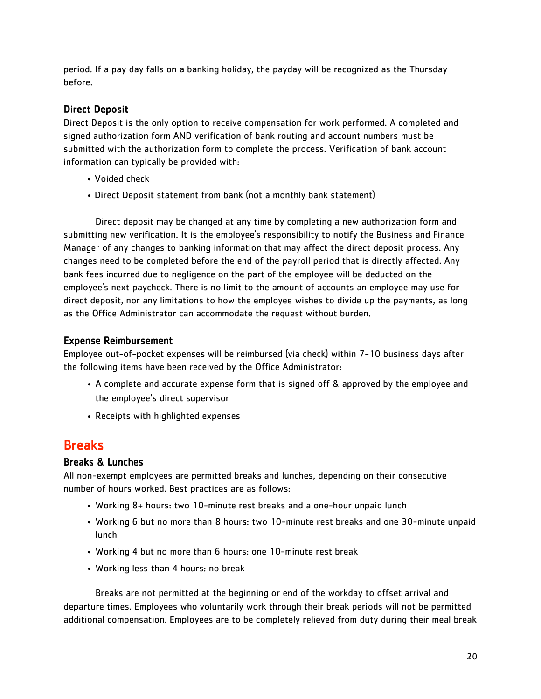period. If a pay day falls on a banking holiday, the payday will be recognized as the Thursday before.

#### Direct Deposit

Direct Deposit is the only option to receive compensation for work performed. A completed and signed authorization form AND verification of bank routing and account numbers must be submitted with the authorization form to complete the process. Verification of bank account information can typically be provided with:

- Voided check
- Direct Deposit statement from bank (not a monthly bank statement)

Direct deposit may be changed at any time by completing a new authorization form and submitting new verification. It is the employee's responsibility to notify the Business and Finance Manager of any changes to banking information that may affect the direct deposit process. Any changes need to be completed before the end of the payroll period that is directly affected. Any bank fees incurred due to negligence on the part of the employee will be deducted on the employee's next paycheck. There is no limit to the amount of accounts an employee may use for direct deposit, nor any limitations to how the employee wishes to divide up the payments, as long as the Office Administrator can accommodate the request without burden.

#### Expense Reimbursement

Employee out-of-pocket expenses will be reimbursed (via check) within 7-10 business days after the following items have been received by the Office Administrator:

- A complete and accurate expense form that is signed off & approved by the employee and the employee's direct supervisor
- Receipts with highlighted expenses

## **Breaks**

#### Breaks & Lunches

All non-exempt employees are permitted breaks and lunches, depending on their consecutive number of hours worked. Best practices are as follows:

- Working 8+ hours: two 10-minute rest breaks and a one-hour unpaid lunch
- Working 6 but no more than 8 hours: two 10-minute rest breaks and one 30-minute unpaid lunch
- Working 4 but no more than 6 hours: one 10-minute rest break
- Working less than 4 hours: no break

Breaks are not permitted at the beginning or end of the workday to offset arrival and departure times. Employees who voluntarily work through their break periods will not be permitted additional compensation. Employees are to be completely relieved from duty during their meal break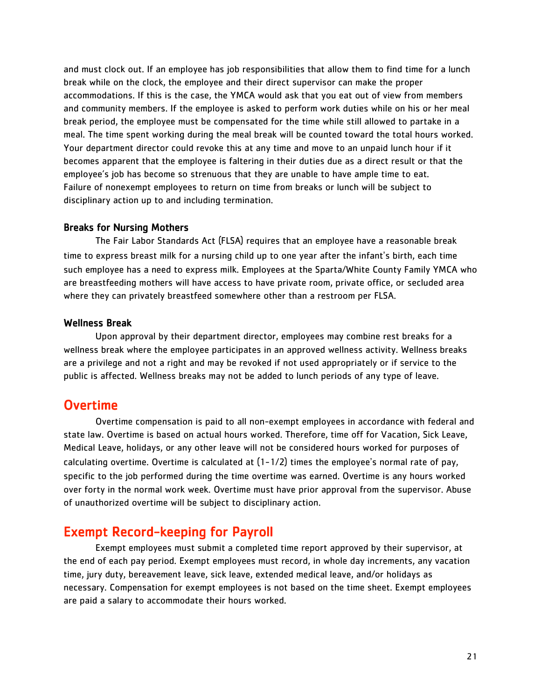and must clock out. If an employee has job responsibilities that allow them to find time for a lunch break while on the clock, the employee and their direct supervisor can make the proper accommodations. If this is the case, the YMCA would ask that you eat out of view from members and community members. If the employee is asked to perform work duties while on his or her meal break period, the employee must be compensated for the time while still allowed to partake in a meal. The time spent working during the meal break will be counted toward the total hours worked. Your department director could revoke this at any time and move to an unpaid lunch hour if it becomes apparent that the employee is faltering in their duties due as a direct result or that the employee's job has become so strenuous that they are unable to have ample time to eat. Failure of nonexempt employees to return on time from breaks or lunch will be subject to disciplinary action up to and including termination.

#### Breaks for Nursing Mothers

 The Fair Labor Standards Act (FLSA) requires that an employee have a reasonable break time to express breast milk for a nursing child up to one year after the infant's birth, each time such employee has a need to express milk. Employees at the Sparta/White County Family YMCA who are breastfeeding mothers will have access to have private room, private office, or secluded area where they can privately breastfeed somewhere other than a restroom per FLSA.

#### Wellness Break

 Upon approval by their department director, employees may combine rest breaks for a wellness break where the employee participates in an approved wellness activity. Wellness breaks are a privilege and not a right and may be revoked if not used appropriately or if service to the public is affected. Wellness breaks may not be added to lunch periods of any type of leave.

#### Overtime

 Overtime compensation is paid to all non-exempt employees in accordance with federal and state law. Overtime is based on actual hours worked. Therefore, time off for Vacation, Sick Leave, Medical Leave, holidays, or any other leave will not be considered hours worked for purposes of calculating overtime. Overtime is calculated at  $(1-1/2)$  times the employee's normal rate of pay, specific to the job performed during the time overtime was earned. Overtime is any hours worked over forty in the normal work week. Overtime must have prior approval from the supervisor. Abuse of unauthorized overtime will be subject to disciplinary action.

## Exempt Record-keeping for Payroll

Exempt employees must submit a completed time report approved by their supervisor, at the end of each pay period. Exempt employees must record, in whole day increments, any vacation time, jury duty, bereavement leave, sick leave, extended medical leave, and/or holidays as necessary. Compensation for exempt employees is not based on the time sheet. Exempt employees are paid a salary to accommodate their hours worked.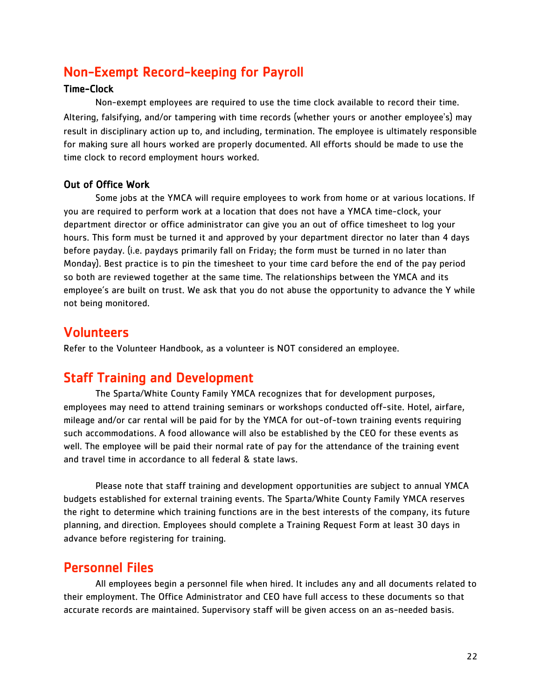## Non-Exempt Record-keeping for Payroll

#### Time-Clock

Non-exempt employees are required to use the time clock available to record their time. Altering, falsifying, and/or tampering with time records (whether yours or another employee's) may result in disciplinary action up to, and including, termination. The employee is ultimately responsible for making sure all hours worked are properly documented. All efforts should be made to use the time clock to record employment hours worked.

#### Out of Office Work

 Some jobs at the YMCA will require employees to work from home or at various locations. If you are required to perform work at a location that does not have a YMCA time-clock, your department director or office administrator can give you an out of office timesheet to log your hours. This form must be turned it and approved by your department director no later than 4 days before payday. (i.e. paydays primarily fall on Friday; the form must be turned in no later than Monday). Best practice is to pin the timesheet to your time card before the end of the pay period so both are reviewed together at the same time. The relationships between the YMCA and its employee's are built on trust. We ask that you do not abuse the opportunity to advance the Y while not being monitored.

### Volunteers

Refer to the Volunteer Handbook, as a volunteer is NOT considered an employee.

## Staff Training and Development

The Sparta/White County Family YMCA recognizes that for development purposes, employees may need to attend training seminars or workshops conducted off-site. Hotel, airfare, mileage and/or car rental will be paid for by the YMCA for out-of-town training events requiring such accommodations. A food allowance will also be established by the CEO for these events as well. The employee will be paid their normal rate of pay for the attendance of the training event and travel time in accordance to all federal & state laws.

Please note that staff training and development opportunities are subject to annual YMCA budgets established for external training events. The Sparta/White County Family YMCA reserves the right to determine which training functions are in the best interests of the company, its future planning, and direction. Employees should complete a Training Request Form at least 30 days in advance before registering for training.

## Personnel Files

All employees begin a personnel file when hired. It includes any and all documents related to their employment. The Office Administrator and CEO have full access to these documents so that accurate records are maintained. Supervisory staff will be given access on an as-needed basis.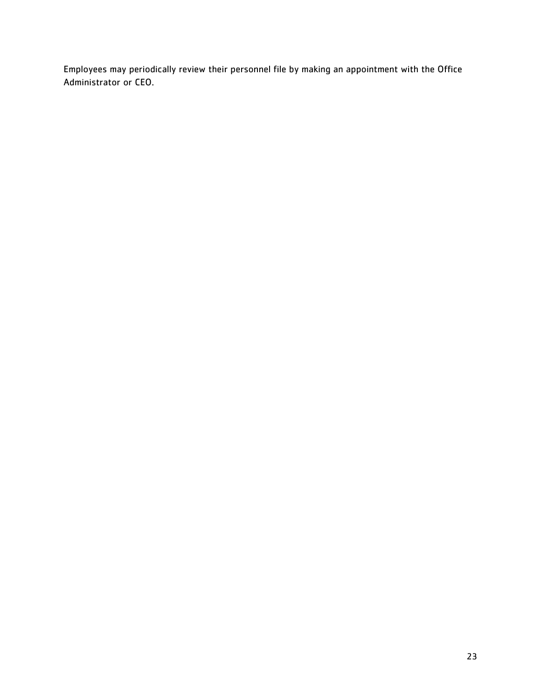Employees may periodically review their personnel file by making an appointment with the Office Administrator or CEO.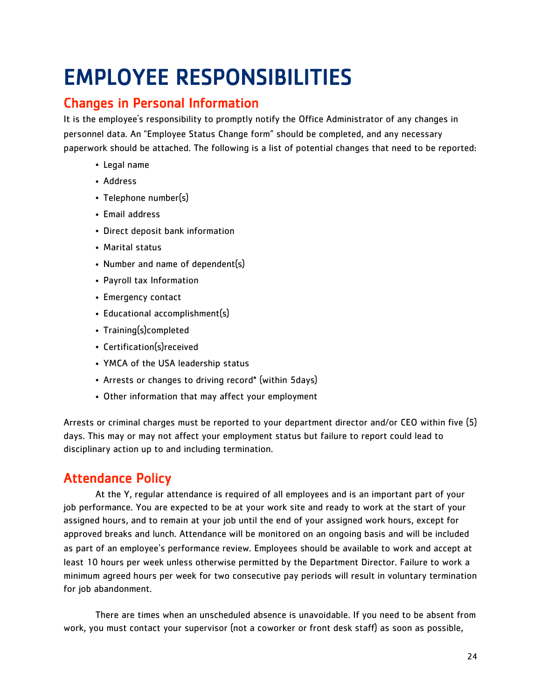## EMPLOYEE RESPONSIBILITIES

## Changes in Personal Information

It is the employee's responsibility to promptly notify the Office Administrator of any changes in personnel data. An "Employee Status Change form" should be completed, and any necessary paperwork should be attached. The following is a list of potential changes that need to be reported:

- Legal name
- Address
- Telephone number(s)
- Email address
- Direct deposit bank information
- Marital status
- Number and name of dependent(s)
- Payroll tax Information
- Emergency contact
- Educational accomplishment(s)
- Training(s)completed
- Certification(s)received
- YMCA of the USA leadership status
- Arrests or changes to driving record\* (within 5days)
- Other information that may affect your employment

Arrests or criminal charges must be reported to your department director and/or CEO within five (5) days. This may or may not affect your employment status but failure to report could lead to disciplinary action up to and including termination.

## Attendance Policy

 At the Y, regular attendance is required of all employees and is an important part of your job performance. You are expected to be at your work site and ready to work at the start of your assigned hours, and to remain at your job until the end of your assigned work hours, except for approved breaks and lunch. Attendance will be monitored on an ongoing basis and will be included as part of an employee's performance review. Employees should be available to work and accept at least 10 hours per week unless otherwise permitted by the Department Director. Failure to work a minimum agreed hours per week for two consecutive pay periods will result in voluntary termination for job abandonment.

There are times when an unscheduled absence is unavoidable. If you need to be absent from work, you must contact your supervisor (not a coworker or front desk staff) as soon as possible,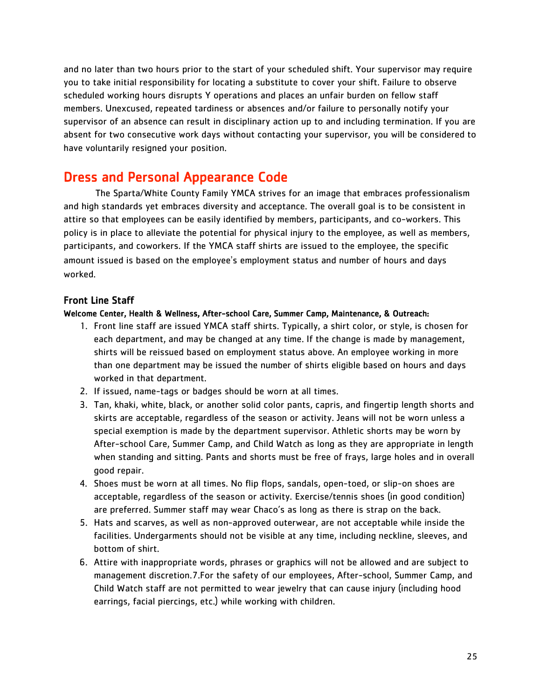and no later than two hours prior to the start of your scheduled shift. Your supervisor may require you to take initial responsibility for locating a substitute to cover your shift. Failure to observe scheduled working hours disrupts Y operations and places an unfair burden on fellow staff members. Unexcused, repeated tardiness or absences and/or failure to personally notify your supervisor of an absence can result in disciplinary action up to and including termination. If you are absent for two consecutive work days without contacting your supervisor, you will be considered to have voluntarily resigned your position.

## Dress and Personal Appearance Code

The Sparta/White County Family YMCA strives for an image that embraces professionalism and high standards yet embraces diversity and acceptance. The overall goal is to be consistent in attire so that employees can be easily identified by members, participants, and co-workers. This policy is in place to alleviate the potential for physical injury to the employee, as well as members, participants, and coworkers. If the YMCA staff shirts are issued to the employee, the specific amount issued is based on the employee's employment status and number of hours and days worked.

#### Front Line Staff

#### Welcome Center, Health & Wellness, After-school Care, Summer Camp, Maintenance, & Outreach:

- 1. Front line staff are issued YMCA staff shirts. Typically, a shirt color, or style, is chosen for each department, and may be changed at any time. If the change is made by management, shirts will be reissued based on employment status above. An employee working in more than one department may be issued the number of shirts eligible based on hours and days worked in that department.
- 2. If issued, name-tags or badges should be worn at all times.
- 3. Tan, khaki, white, black, or another solid color pants, capris, and fingertip length shorts and skirts are acceptable, regardless of the season or activity. Jeans will not be worn unless a special exemption is made by the department supervisor. Athletic shorts may be worn by After-school Care, Summer Camp, and Child Watch as long as they are appropriate in length when standing and sitting. Pants and shorts must be free of frays, large holes and in overall good repair.
- 4. Shoes must be worn at all times. No flip flops, sandals, open-toed, or slip-on shoes are acceptable, regardless of the season or activity. Exercise/tennis shoes (in good condition) are preferred. Summer staff may wear Chaco's as long as there is strap on the back.
- 5. Hats and scarves, as well as non-approved outerwear, are not acceptable while inside the facilities. Undergarments should not be visible at any time, including neckline, sleeves, and bottom of shirt.
- 6. Attire with inappropriate words, phrases or graphics will not be allowed and are subject to management discretion.7.For the safety of our employees, After-school, Summer Camp, and Child Watch staff are not permitted to wear jewelry that can cause injury (including hood earrings, facial piercings, etc.) while working with children.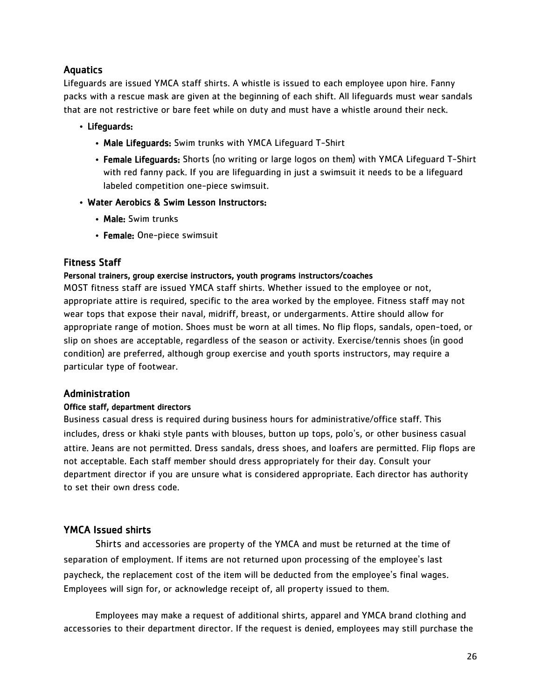#### **Aquatics**

Lifeguards are issued YMCA staff shirts. A whistle is issued to each employee upon hire. Fanny packs with a rescue mask are given at the beginning of each shift. All lifeguards must wear sandals that are not restrictive or bare feet while on duty and must have a whistle around their neck.

#### • Lifeguards:

- Male Lifeguards: Swim trunks with YMCA Lifeguard T-Shirt
- Female Lifeguards: Shorts (no writing or large logos on them) with YMCA Lifeguard T-Shirt with red fanny pack. If you are lifeguarding in just a swimsuit it needs to be a lifeguard labeled competition one-piece swimsuit.
- Water Aerobics & Swim Lesson Instructors:
	- Male: Swim trunks
	- Female: One-piece swimsuit

#### Fitness Staff

#### Personal trainers, group exercise instructors, youth programs instructors/coaches

MOST fitness staff are issued YMCA staff shirts. Whether issued to the employee or not, appropriate attire is required, specific to the area worked by the employee. Fitness staff may not wear tops that expose their naval, midriff, breast, or undergarments. Attire should allow for appropriate range of motion. Shoes must be worn at all times. No flip flops, sandals, open-toed, or slip on shoes are acceptable, regardless of the season or activity. Exercise/tennis shoes (in good condition) are preferred, although group exercise and youth sports instructors, may require a particular type of footwear.

#### Administration

#### Office staff, department directors

Business casual dress is required during business hours for administrative/office staff. This includes, dress or khaki style pants with blouses, button up tops, polo's, or other business casual attire. Jeans are not permitted. Dress sandals, dress shoes, and loafers are permitted. Flip flops are not acceptable. Each staff member should dress appropriately for their day. Consult your department director if you are unsure what is considered appropriate. Each director has authority to set their own dress code.

#### YMCA Issued shirts

 Shirts and accessories are property of the YMCA and must be returned at the time of separation of employment. If items are not returned upon processing of the employee's last paycheck, the replacement cost of the item will be deducted from the employee's final wages. Employees will sign for, or acknowledge receipt of, all property issued to them.

Employees may make a request of additional shirts, apparel and YMCA brand clothing and accessories to their department director. If the request is denied, employees may still purchase the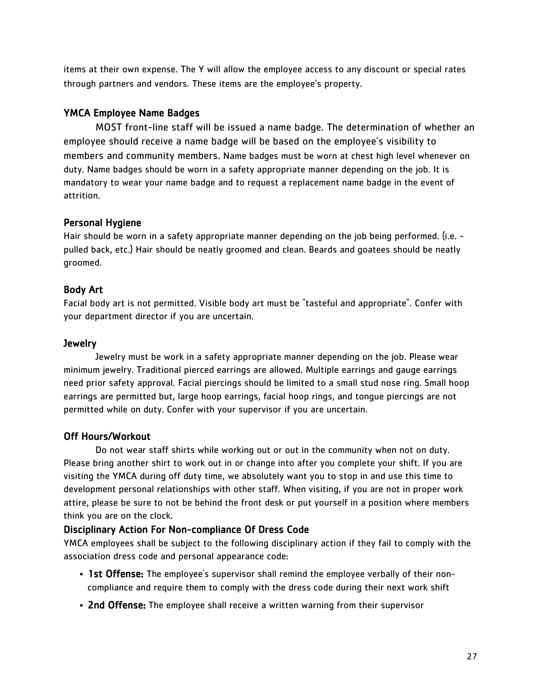items at their own expense. The Y will allow the employee access to any discount or special rates through partners and vendors. These items are the employee's property.

#### YMCA Employee Name Badges

 MOST front-line staff will be issued a name badge. The determination of whether an employee should receive a name badge will be based on the employee's visibility to members and community members. Name badges must be worn at chest high level whenever on duty. Name badges should be worn in a safety appropriate manner depending on the job. It is mandatory to wear your name badge and to request a replacement name badge in the event of attrition.

#### Personal Hygiene

Hair should be worn in a safety appropriate manner depending on the job being performed. (i.e. pulled back, etc.) Hair should be neatly groomed and clean. Beards and goatees should be neatly groomed.

#### Body Art

Facial body art is not permitted. Visible body art must be "tasteful and appropriate". Confer with your department director if you are uncertain.

#### **Jewelry**

 Jewelry must be work in a safety appropriate manner depending on the job. Please wear minimum jewelry. Traditional pierced earrings are allowed. Multiple earrings and gauge earrings need prior safety approval. Facial piercings should be limited to a small stud nose ring. Small hoop earrings are permitted but, large hoop earrings, facial hoop rings, and tongue piercings are not permitted while on duty. Confer with your supervisor if you are uncertain.

#### Off Hours/Workout

 Do not wear staff shirts while working out or out in the community when not on duty. Please bring another shirt to work out in or change into after you complete your shift. If you are visiting the YMCA during off duty time, we absolutely want you to stop in and use this time to development personal relationships with other staff. When visiting, if you are not in proper work attire, please be sure to not be behind the front desk or put yourself in a position where members think you are on the clock.

#### Disciplinary Action For Non-compliance Of Dress Code

YMCA employees shall be subject to the following disciplinary action if they fail to comply with the association dress code and personal appearance code:

- 1st Offense: The employee's supervisor shall remind the employee verbally of their noncompliance and require them to comply with the dress code during their next work shift
- 2nd Offense: The employee shall receive a written warning from their supervisor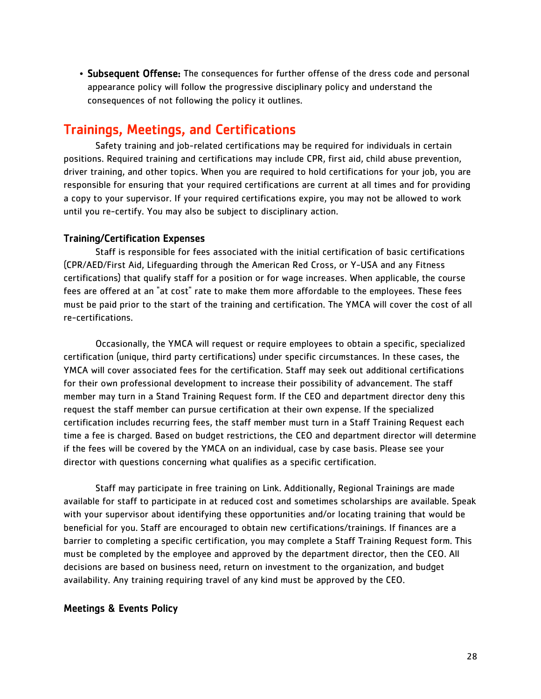• Subsequent Offense: The consequences for further offense of the dress code and personal appearance policy will follow the progressive disciplinary policy and understand the consequences of not following the policy it outlines.

### Trainings, Meetings, and Certifications

Safety training and job-related certifications may be required for individuals in certain positions. Required training and certifications may include CPR, first aid, child abuse prevention, driver training, and other topics. When you are required to hold certifications for your job, you are responsible for ensuring that your required certifications are current at all times and for providing a copy to your supervisor. If your required certifications expire, you may not be allowed to work until you re-certify. You may also be subject to disciplinary action.

#### Training/Certification Expenses

 Staff is responsible for fees associated with the initial certification of basic certifications (CPR/AED/First Aid, Lifeguarding through the American Red Cross, or Y-USA and any Fitness certifications) that qualify staff for a position or for wage increases. When applicable, the course fees are offered at an "at cost" rate to make them more affordable to the employees. These fees must be paid prior to the start of the training and certification. The YMCA will cover the cost of all re-certifications.

Occasionally, the YMCA will request or require employees to obtain a specific, specialized certification (unique, third party certifications) under specific circumstances. In these cases, the YMCA will cover associated fees for the certification. Staff may seek out additional certifications for their own professional development to increase their possibility of advancement. The staff member may turn in a Stand Training Request form. If the CEO and department director deny this request the staff member can pursue certification at their own expense. If the specialized certification includes recurring fees, the staff member must turn in a Staff Training Request each time a fee is charged. Based on budget restrictions, the CEO and department director will determine if the fees will be covered by the YMCA on an individual, case by case basis. Please see your director with questions concerning what qualifies as a specific certification.

Staff may participate in free training on Link. Additionally, Regional Trainings are made available for staff to participate in at reduced cost and sometimes scholarships are available. Speak with your supervisor about identifying these opportunities and/or locating training that would be beneficial for you. Staff are encouraged to obtain new certifications/trainings. If finances are a barrier to completing a specific certification, you may complete a Staff Training Request form. This must be completed by the employee and approved by the department director, then the CEO. All decisions are based on business need, return on investment to the organization, and budget availability. Any training requiring travel of any kind must be approved by the CEO.

#### Meetings & Events Policy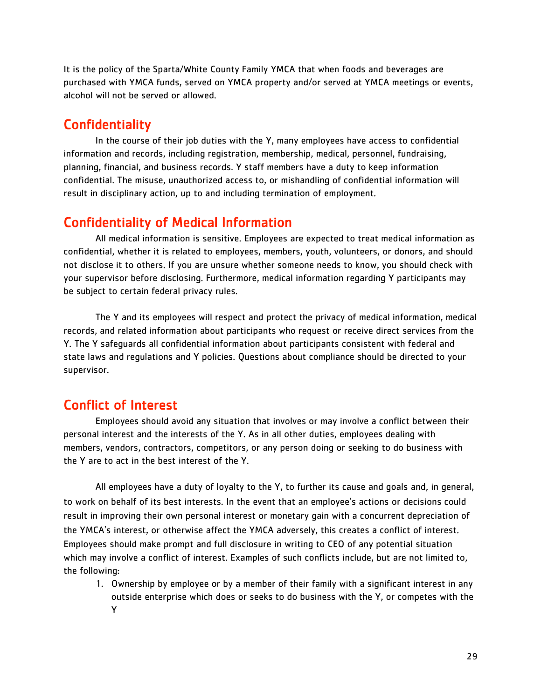It is the policy of the Sparta/White County Family YMCA that when foods and beverages are purchased with YMCA funds, served on YMCA property and/or served at YMCA meetings or events, alcohol will not be served or allowed.

## **Confidentiality**

In the course of their job duties with the Y, many employees have access to confidential information and records, including registration, membership, medical, personnel, fundraising, planning, financial, and business records. Y staff members have a duty to keep information confidential. The misuse, unauthorized access to, or mishandling of confidential information will result in disciplinary action, up to and including termination of employment.

## Confidentiality of Medical Information

All medical information is sensitive. Employees are expected to treat medical information as confidential, whether it is related to employees, members, youth, volunteers, or donors, and should not disclose it to others. If you are unsure whether someone needs to know, you should check with your supervisor before disclosing. Furthermore, medical information regarding Y participants may be subject to certain federal privacy rules.

The Y and its employees will respect and protect the privacy of medical information, medical records, and related information about participants who request or receive direct services from the Y. The Y safeguards all confidential information about participants consistent with federal and state laws and regulations and Y policies. Questions about compliance should be directed to your supervisor.

## Conflict of Interest

Employees should avoid any situation that involves or may involve a conflict between their personal interest and the interests of the Y. As in all other duties, employees dealing with members, vendors, contractors, competitors, or any person doing or seeking to do business with the Y are to act in the best interest of the Y.

All employees have a duty of loyalty to the Y, to further its cause and goals and, in general, to work on behalf of its best interests. In the event that an employee's actions or decisions could result in improving their own personal interest or monetary gain with a concurrent depreciation of the YMCA's interest, or otherwise affect the YMCA adversely, this creates a conflict of interest. Employees should make prompt and full disclosure in writing to CEO of any potential situation which may involve a conflict of interest. Examples of such conflicts include, but are not limited to, the following:

1. Ownership by employee or by a member of their family with a significant interest in any outside enterprise which does or seeks to do business with the Y, or competes with the Y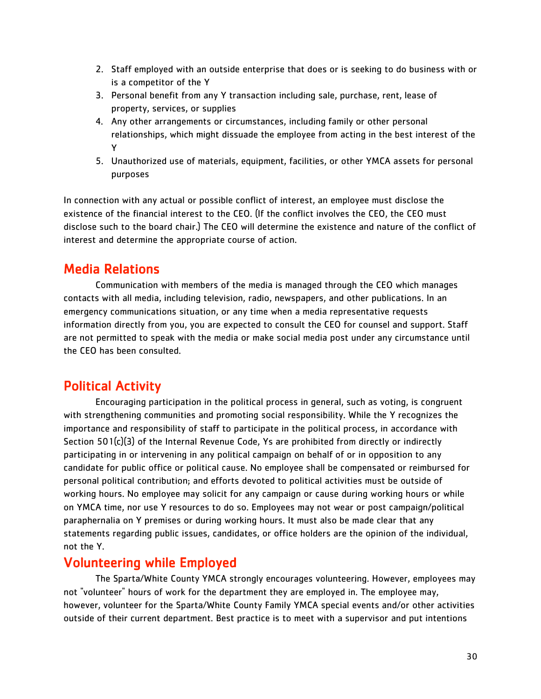- 2. Staff employed with an outside enterprise that does or is seeking to do business with or is a competitor of the Y
- 3. Personal benefit from any Y transaction including sale, purchase, rent, lease of property, services, or supplies
- 4. Any other arrangements or circumstances, including family or other personal relationships, which might dissuade the employee from acting in the best interest of the Y
- 5. Unauthorized use of materials, equipment, facilities, or other YMCA assets for personal purposes

In connection with any actual or possible conflict of interest, an employee must disclose the existence of the financial interest to the CEO. (If the conflict involves the CEO, the CEO must disclose such to the board chair.) The CEO will determine the existence and nature of the conflict of interest and determine the appropriate course of action.

## Media Relations

 Communication with members of the media is managed through the CEO which manages contacts with all media, including television, radio, newspapers, and other publications. In an emergency communications situation, or any time when a media representative requests information directly from you, you are expected to consult the CEO for counsel and support. Staff are not permitted to speak with the media or make social media post under any circumstance until the CEO has been consulted.

## Political Activity

 Encouraging participation in the political process in general, such as voting, is congruent with strengthening communities and promoting social responsibility. While the Y recognizes the importance and responsibility of staff to participate in the political process, in accordance with Section 501(c)(3) of the Internal Revenue Code, Ys are prohibited from directly or indirectly participating in or intervening in any political campaign on behalf of or in opposition to any candidate for public office or political cause. No employee shall be compensated or reimbursed for personal political contribution; and efforts devoted to political activities must be outside of working hours. No employee may solicit for any campaign or cause during working hours or while on YMCA time, nor use Y resources to do so. Employees may not wear or post campaign/political paraphernalia on Y premises or during working hours. It must also be made clear that any statements regarding public issues, candidates, or office holders are the opinion of the individual, not the Y.

## Volunteering while Employed

 The Sparta/White County YMCA strongly encourages volunteering. However, employees may not "volunteer" hours of work for the department they are employed in. The employee may, however, volunteer for the Sparta/White County Family YMCA special events and/or other activities outside of their current department. Best practice is to meet with a supervisor and put intentions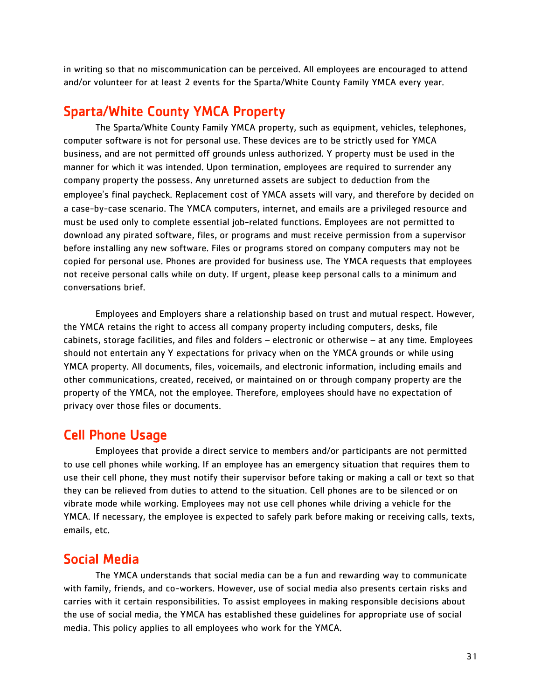in writing so that no miscommunication can be perceived. All employees are encouraged to attend and/or volunteer for at least 2 events for the Sparta/White County Family YMCA every year.

### Sparta/White County YMCA Property

 The Sparta/White County Family YMCA property, such as equipment, vehicles, telephones, computer software is not for personal use. These devices are to be strictly used for YMCA business, and are not permitted off grounds unless authorized. Y property must be used in the manner for which it was intended. Upon termination, employees are required to surrender any company property the possess. Any unreturned assets are subject to deduction from the employee's final paycheck. Replacement cost of YMCA assets will vary, and therefore by decided on a case-by-case scenario. The YMCA computers, internet, and emails are a privileged resource and must be used only to complete essential job-related functions. Employees are not permitted to download any pirated software, files, or programs and must receive permission from a supervisor before installing any new software. Files or programs stored on company computers may not be copied for personal use. Phones are provided for business use. The YMCA requests that employees not receive personal calls while on duty. If urgent, please keep personal calls to a minimum and conversations brief.

Employees and Employers share a relationship based on trust and mutual respect. However, the YMCA retains the right to access all company property including computers, desks, file cabinets, storage facilities, and files and folders – electronic or otherwise – at any time. Employees should not entertain any Y expectations for privacy when on the YMCA grounds or while using YMCA property. All documents, files, voicemails, and electronic information, including emails and other communications, created, received, or maintained on or through company property are the property of the YMCA, not the employee. Therefore, employees should have no expectation of privacy over those files or documents.

### Cell Phone Usage

Employees that provide a direct service to members and/or participants are not permitted to use cell phones while working. If an employee has an emergency situation that requires them to use their cell phone, they must notify their supervisor before taking or making a call or text so that they can be relieved from duties to attend to the situation. Cell phones are to be silenced or on vibrate mode while working. Employees may not use cell phones while driving a vehicle for the YMCA. If necessary, the employee is expected to safely park before making or receiving calls, texts, emails, etc.

#### Social Media

The YMCA understands that social media can be a fun and rewarding way to communicate with family, friends, and co-workers. However, use of social media also presents certain risks and carries with it certain responsibilities. To assist employees in making responsible decisions about the use of social media, the YMCA has established these guidelines for appropriate use of social media. This policy applies to all employees who work for the YMCA.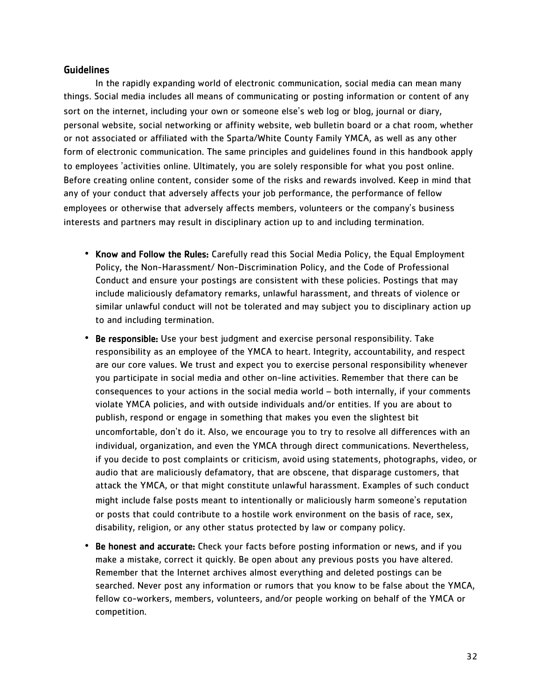#### **Guidelines**

In the rapidly expanding world of electronic communication, social media can mean many things. Social media includes all means of communicating or posting information or content of any sort on the internet, including your own or someone else's web log or blog, journal or diary, personal website, social networking or affinity website, web bulletin board or a chat room, whether or not associated or affiliated with the Sparta/White County Family YMCA, as well as any other form of electronic communication. The same principles and guidelines found in this handbook apply to employees 'activities online. Ultimately, you are solely responsible for what you post online. Before creating online content, consider some of the risks and rewards involved. Keep in mind that any of your conduct that adversely affects your job performance, the performance of fellow employees or otherwise that adversely affects members, volunteers or the company's business interests and partners may result in disciplinary action up to and including termination.

- Know and Follow the Rules: Carefully read this Social Media Policy, the Equal Employment Policy, the Non-Harassment/ Non-Discrimination Policy, and the Code of Professional Conduct and ensure your postings are consistent with these policies. Postings that may include maliciously defamatory remarks, unlawful harassment, and threats of violence or similar unlawful conduct will not be tolerated and may subject you to disciplinary action up to and including termination.
- Be responsible: Use your best judgment and exercise personal responsibility. Take responsibility as an employee of the YMCA to heart. Integrity, accountability, and respect are our core values. We trust and expect you to exercise personal responsibility whenever you participate in social media and other on-line activities. Remember that there can be consequences to your actions in the social media world – both internally, if your comments violate YMCA policies, and with outside individuals and/or entities. If you are about to publish, respond or engage in something that makes you even the slightest bit uncomfortable, don't do it. Also, we encourage you to try to resolve all differences with an individual, organization, and even the YMCA through direct communications. Nevertheless, if you decide to post complaints or criticism, avoid using statements, photographs, video, or audio that are maliciously defamatory, that are obscene, that disparage customers, that attack the YMCA, or that might constitute unlawful harassment. Examples of such conduct might include false posts meant to intentionally or maliciously harm someone's reputation or posts that could contribute to a hostile work environment on the basis of race, sex, disability, religion, or any other status protected by law or company policy.
- Be honest and accurate: Check your facts before posting information or news, and if you make a mistake, correct it quickly. Be open about any previous posts you have altered. Remember that the Internet archives almost everything and deleted postings can be searched. Never post any information or rumors that you know to be false about the YMCA, fellow co-workers, members, volunteers, and/or people working on behalf of the YMCA or competition.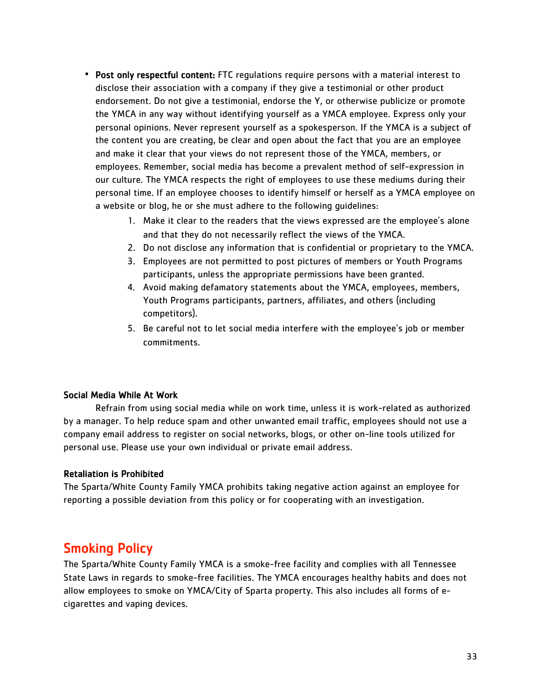- Post only respectful content: FTC regulations require persons with a material interest to disclose their association with a company if they give a testimonial or other product endorsement. Do not give a testimonial, endorse the Y, or otherwise publicize or promote the YMCA in any way without identifying yourself as a YMCA employee. Express only your personal opinions. Never represent yourself as a spokesperson. If the YMCA is a subject of the content you are creating, be clear and open about the fact that you are an employee and make it clear that your views do not represent those of the YMCA, members, or employees. Remember, social media has become a prevalent method of self-expression in our culture. The YMCA respects the right of employees to use these mediums during their personal time. If an employee chooses to identify himself or herself as a YMCA employee on a website or blog, he or she must adhere to the following guidelines:
	- 1. Make it clear to the readers that the views expressed are the employee's alone and that they do not necessarily reflect the views of the YMCA.
	- 2. Do not disclose any information that is confidential or proprietary to the YMCA.
	- 3. Employees are not permitted to post pictures of members or Youth Programs participants, unless the appropriate permissions have been granted.
	- 4. Avoid making defamatory statements about the YMCA, employees, members, Youth Programs participants, partners, affiliates, and others (including competitors).
	- 5. Be careful not to let social media interfere with the employee's job or member commitments.

#### Social Media While At Work

 Refrain from using social media while on work time, unless it is work-related as authorized by a manager. To help reduce spam and other unwanted email traffic, employees should not use a company email address to register on social networks, blogs, or other on-line tools utilized for personal use. Please use your own individual or private email address.

#### Retaliation is Prohibited

The Sparta/White County Family YMCA prohibits taking negative action against an employee for reporting a possible deviation from this policy or for cooperating with an investigation.

## Smoking Policy

The Sparta/White County Family YMCA is a smoke-free facility and complies with all Tennessee State Laws in regards to smoke-free facilities. The YMCA encourages healthy habits and does not allow employees to smoke on YMCA/City of Sparta property. This also includes all forms of ecigarettes and vaping devices.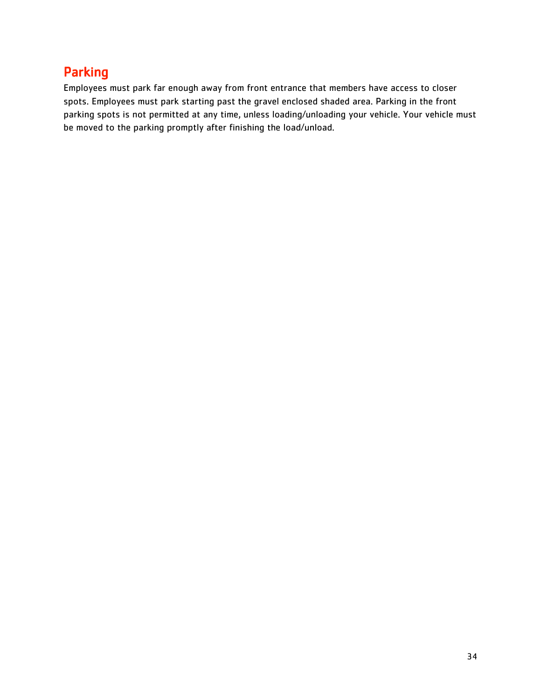## Parking

Employees must park far enough away from front entrance that members have access to closer spots. Employees must park starting past the gravel enclosed shaded area. Parking in the front parking spots is not permitted at any time, unless loading/unloading your vehicle. Your vehicle must be moved to the parking promptly after finishing the load/unload.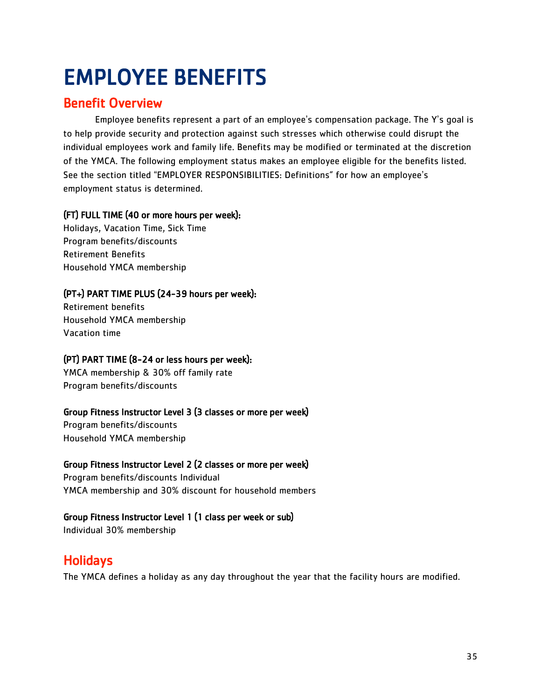## <span id="page-35-0"></span>EMPLOYEE BENEFITS

## Benefit Overview

Employee benefits represent a part of an employee's compensation package. The Y's goal is to help provide security and protection against such stresses which otherwise could disrupt the individual employees work and family life. Benefits may be modified or terminated at the discretion of the YMCA. The following employment status makes an employee eligible for the benefits listed. See the section titled "EMPLOYER RESPONSIBILITIES: Definitions" for how an employee's employment status is determined.

#### (FT) FULL TIME (40 or more hours per week):

Holidays, Vacation Time, Sick Time Program benefits/discounts Retirement Benefits Household YMCA membership

#### (PT+) PART TIME PLUS (24-39 hours per week):

Retirement benefits Household YMCA membership Vacation time

#### (PT) PART TIME (8-24 or less hours per week):

YMCA membership & 30% off family rate Program benefits/discounts

#### Group Fitness Instructor Level 3 (3 classes or more per week)

Program benefits/discounts Household YMCA membership

#### Group Fitness Instructor Level 2 (2 classes or more per week)

Program benefits/discounts Individual YMCA membership and 30% discount for household members

#### Group Fitness Instructor Level 1 (1 class per week or sub)

Individual 30% membership

## Holidays

The YMCA defines a holiday as any day throughout the year that the facility hours are modified.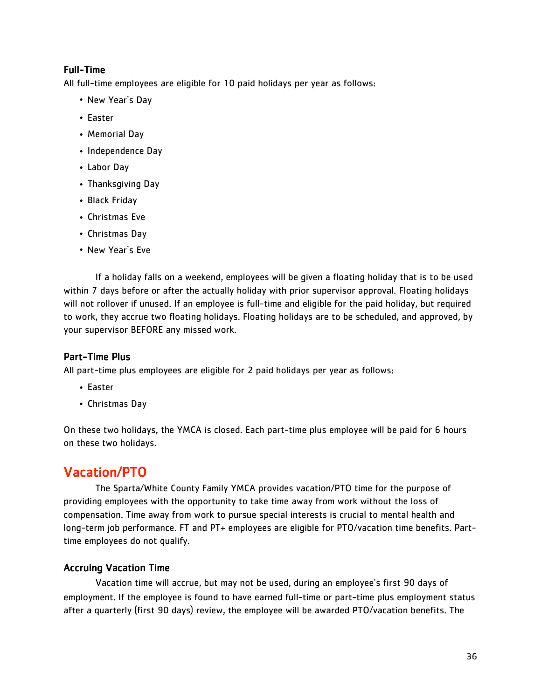#### Full-Time

All full-time employees are eligible for 10 paid holidays per year as follows:

- New Year's Day
- Easter
- Memorial Day
- Independence Day
- Labor Day
- Thanksgiving Day
- Black Friday
- Christmas Eve
- Christmas Day
- New Year's Eve

If a holiday falls on a weekend, employees will be given a floating holiday that is to be used within 7 days before or after the actually holiday with prior supervisor approval. Floating holidays will not rollover if unused. If an employee is full-time and eligible for the paid holiday, but required to work, they accrue two floating holidays. Floating holidays are to be scheduled, and approved, by your supervisor BEFORE any missed work.

#### Part-Time Plus

All part-time plus employees are eligible for 2 paid holidays per year as follows:

- Easter
- Christmas Day

On these two holidays, the YMCA is closed. Each part-time plus employee will be paid for 6 hours on these two holidays.

## Vacation/PTO

 The Sparta/White County Family YMCA provides vacation/PTO time for the purpose of providing employees with the opportunity to take time away from work without the loss of compensation. Time away from work to pursue special interests is crucial to mental health and long-term job performance. FT and PT+ employees are eligible for PTO/vacation time benefits. Parttime employees do not qualify.

#### Accruing Vacation Time

 Vacation time will accrue, but may not be used, during an employee's first 90 days of employment. If the employee is found to have earned full-time or part-time plus employment status after a quarterly (first 90 days) review, the employee will be awarded PTO/vacation benefits. The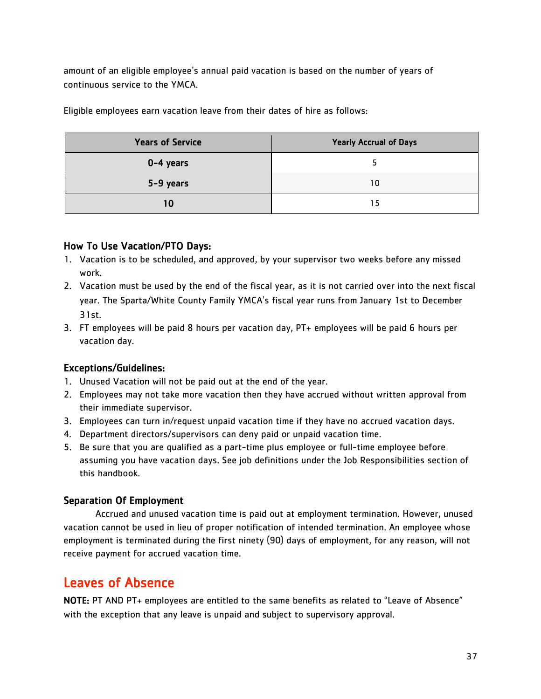amount of an eligible employee's annual paid vacation is based on the number of years of continuous service to the YMCA.

Eligible employees earn vacation leave from their dates of hire as follows:

| <b>Years of Service</b> | <b>Yearly Accrual of Days</b> |
|-------------------------|-------------------------------|
| $0-4$ years             |                               |
| 5-9 years               | 10                            |
| 10                      | 15                            |

#### How To Use Vacation/PTO Days:

- 1. Vacation is to be scheduled, and approved, by your supervisor two weeks before any missed work.
- 2. Vacation must be used by the end of the fiscal year, as it is not carried over into the next fiscal year. The Sparta/White County Family YMCA's fiscal year runs from January 1st to December 31st.
- 3. FT employees will be paid 8 hours per vacation day, PT+ employees will be paid 6 hours per vacation day.

#### Exceptions/Guidelines:

- 1. Unused Vacation will not be paid out at the end of the year.
- 2. Employees may not take more vacation then they have accrued without written approval from their immediate supervisor.
- 3. Employees can turn in/request unpaid vacation time if they have no accrued vacation days.
- 4. Department directors/supervisors can deny paid or unpaid vacation time.
- 5. Be sure that you are qualified as a part-time plus employee or full-time employee before assuming you have vacation days. See job definitions under the Job Responsibilities section of this handbook.

#### Separation Of Employment

Accrued and unused vacation time is paid out at employment termination. However, unused vacation cannot be used in lieu of proper notification of intended termination. An employee whose employment is terminated during the first ninety (90) days of employment, for any reason, will not receive payment for accrued vacation time.

## Leaves of Absence

NOTE: PT AND PT+ employees are entitled to the same benefits as related to "Leave of Absence" with the exception that any leave is unpaid and subject to supervisory approval.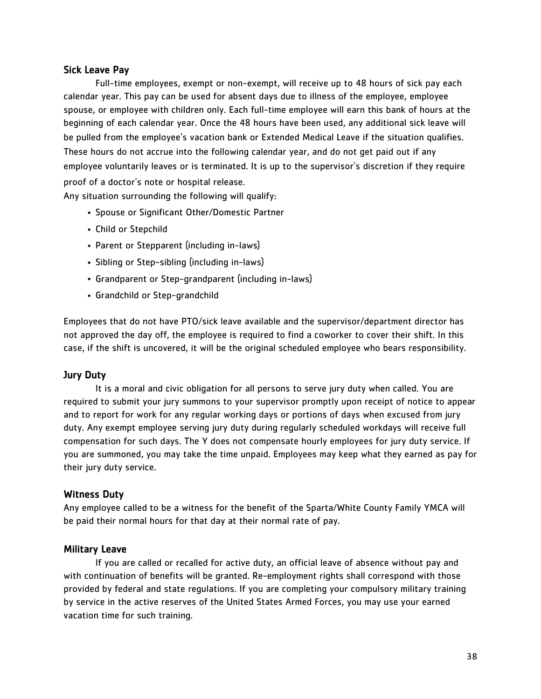#### Sick Leave Pay

Full-time employees, exempt or non-exempt, will receive up to 48 hours of sick pay each calendar year. This pay can be used for absent days due to illness of the employee, employee spouse, or employee with children only. Each full-time employee will earn this bank of hours at the beginning of each calendar year. Once the 48 hours have been used, any additional sick leave will be pulled from the employee's vacation bank or Extended Medical Leave if the situation qualifies. These hours do not accrue into the following calendar year, and do not get paid out if any employee voluntarily leaves or is terminated. It is up to the supervisor's discretion if they require proof of a doctor's note or hospital release.

Any situation surrounding the following will qualify:

- Spouse or Significant Other/Domestic Partner
- Child or Stepchild
- Parent or Stepparent (including in-laws)
- Sibling or Step-sibling (including in-laws)
- Grandparent or Step-grandparent (including in-laws)
- Grandchild or Step-grandchild

Employees that do not have PTO/sick leave available and the supervisor/department director has not approved the day off, the employee is required to find a coworker to cover their shift. In this case, if the shift is uncovered, it will be the original scheduled employee who bears responsibility.

#### Jury Duty

It is a moral and civic obligation for all persons to serve jury duty when called. You are required to submit your jury summons to your supervisor promptly upon receipt of notice to appear and to report for work for any regular working days or portions of days when excused from jury duty. Any exempt employee serving jury duty during regularly scheduled workdays will receive full compensation for such days. The Y does not compensate hourly employees for jury duty service. If you are summoned, you may take the time unpaid. Employees may keep what they earned as pay for their jury duty service.

#### Witness Duty

Any employee called to be a witness for the benefit of the Sparta/White County Family YMCA will be paid their normal hours for that day at their normal rate of pay.

#### Military Leave

If you are called or recalled for active duty, an official leave of absence without pay and with continuation of benefits will be granted. Re-employment rights shall correspond with those provided by federal and state regulations. If you are completing your compulsory military training by service in the active reserves of the United States Armed Forces, you may use your earned vacation time for such training.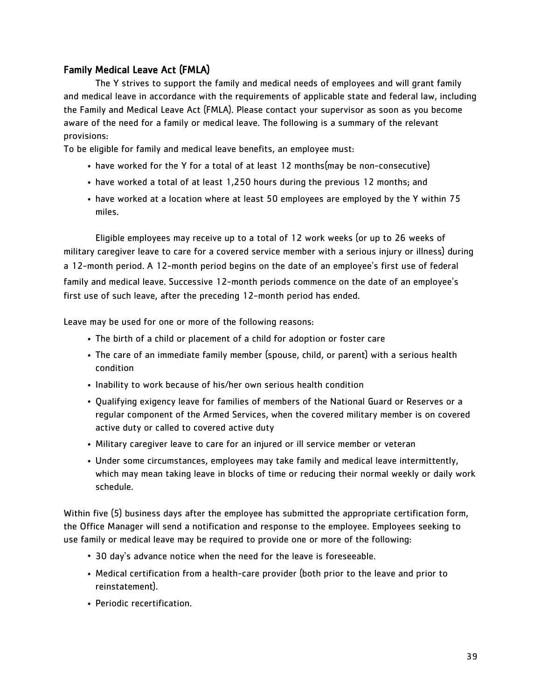#### Family Medical Leave Act (FMLA)

 The Y strives to support the family and medical needs of employees and will grant family and medical leave in accordance with the requirements of applicable state and federal law, including the Family and Medical Leave Act (FMLA). Please contact your supervisor as soon as you become aware of the need for a family or medical leave. The following is a summary of the relevant provisions:

To be eligible for family and medical leave benefits, an employee must:

- have worked for the Y for a total of at least 12 months(may be non-consecutive)
- have worked a total of at least 1,250 hours during the previous 12 months; and
- have worked at a location where at least 50 employees are employed by the Y within 75 miles.

Eligible employees may receive up to a total of 12 work weeks (or up to 26 weeks of military caregiver leave to care for a covered service member with a serious injury or illness) during a 12-month period. A 12-month period begins on the date of an employee's first use of federal family and medical leave. Successive 12-month periods commence on the date of an employee's first use of such leave, after the preceding 12-month period has ended.

Leave may be used for one or more of the following reasons:

- The birth of a child or placement of a child for adoption or foster care
- The care of an immediate family member (spouse, child, or parent) with a serious health condition
- Inability to work because of his/her own serious health condition
- Qualifying exigency leave for families of members of the National Guard or Reserves or a regular component of the Armed Services, when the covered military member is on covered active duty or called to covered active duty
- Military caregiver leave to care for an injured or ill service member or veteran
- Under some circumstances, employees may take family and medical leave intermittently, which may mean taking leave in blocks of time or reducing their normal weekly or daily work schedule.

Within five (5) business days after the employee has submitted the appropriate certification form, the Office Manager will send a notification and response to the employee. Employees seeking to use family or medical leave may be required to provide one or more of the following:

- 30 day's advance notice when the need for the leave is foreseeable.
- Medical certification from a health-care provider (both prior to the leave and prior to reinstatement).
- Periodic recertification.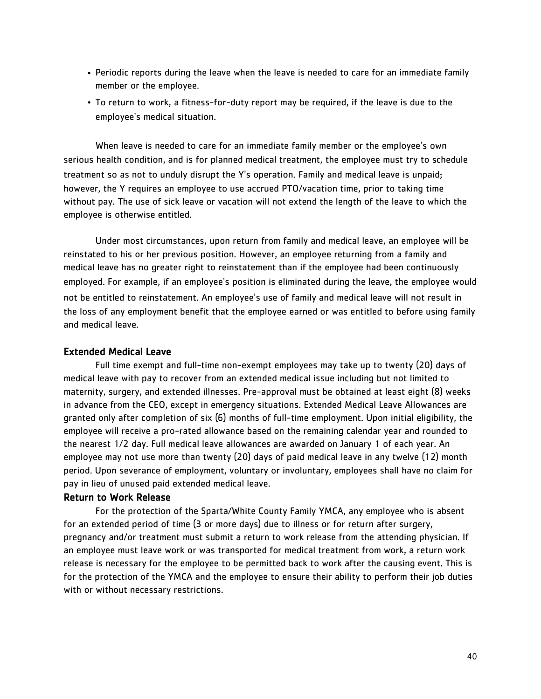- Periodic reports during the leave when the leave is needed to care for an immediate family member or the employee.
- To return to work, a fitness-for-duty report may be required, if the leave is due to the employee's medical situation.

When leave is needed to care for an immediate family member or the employee's own serious health condition, and is for planned medical treatment, the employee must try to schedule treatment so as not to unduly disrupt the Y's operation. Family and medical leave is unpaid; however, the Y requires an employee to use accrued PTO/vacation time, prior to taking time without pay. The use of sick leave or vacation will not extend the length of the leave to which the employee is otherwise entitled.

Under most circumstances, upon return from family and medical leave, an employee will be reinstated to his or her previous position. However, an employee returning from a family and medical leave has no greater right to reinstatement than if the employee had been continuously employed. For example, if an employee's position is eliminated during the leave, the employee would not be entitled to reinstatement. An employee's use of family and medical leave will not result in the loss of any employment benefit that the employee earned or was entitled to before using family and medical leave.

#### Extended Medical Leave

 Full time exempt and full-time non-exempt employees may take up to twenty (20) days of medical leave with pay to recover from an extended medical issue including but not limited to maternity, surgery, and extended illnesses. Pre-approval must be obtained at least eight (8) weeks in advance from the CEO, except in emergency situations. Extended Medical Leave Allowances are granted only after completion of six (6) months of full-time employment. Upon initial eligibility, the employee will receive a pro-rated allowance based on the remaining calendar year and rounded to the nearest 1/2 day. Full medical leave allowances are awarded on January 1 of each year. An employee may not use more than twenty (20) days of paid medical leave in any twelve (12) month period. Upon severance of employment, voluntary or involuntary, employees shall have no claim for pay in lieu of unused paid extended medical leave.

#### Return to Work Release

 For the protection of the Sparta/White County Family YMCA, any employee who is absent for an extended period of time (3 or more days) due to illness or for return after surgery, pregnancy and/or treatment must submit a return to work release from the attending physician. If an employee must leave work or was transported for medical treatment from work, a return work release is necessary for the employee to be permitted back to work after the causing event. This is for the protection of the YMCA and the employee to ensure their ability to perform their job duties with or without necessary restrictions.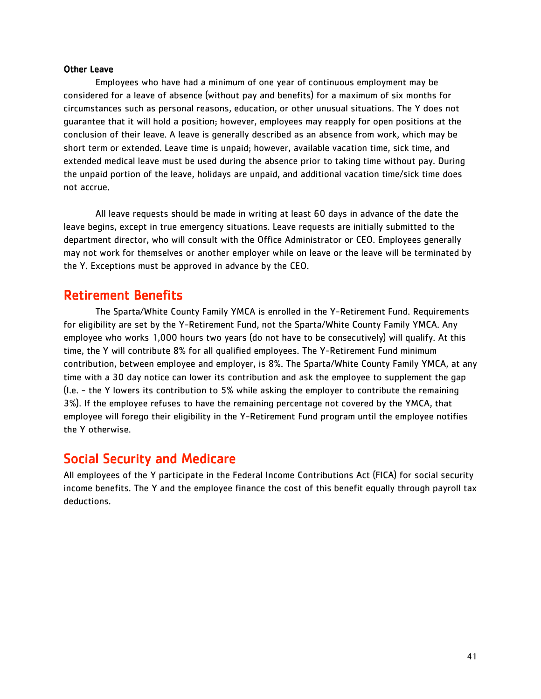#### Other Leave

Employees who have had a minimum of one year of continuous employment may be considered for a leave of absence (without pay and benefits) for a maximum of six months for circumstances such as personal reasons, education, or other unusual situations. The Y does not guarantee that it will hold a position; however, employees may reapply for open positions at the conclusion of their leave. A leave is generally described as an absence from work, which may be short term or extended. Leave time is unpaid; however, available vacation time, sick time, and extended medical leave must be used during the absence prior to taking time without pay. During the unpaid portion of the leave, holidays are unpaid, and additional vacation time/sick time does not accrue.

All leave requests should be made in writing at least 60 days in advance of the date the leave begins, except in true emergency situations. Leave requests are initially submitted to the department director, who will consult with the Office Administrator or CEO. Employees generally may not work for themselves or another employer while on leave or the leave will be terminated by the Y. Exceptions must be approved in advance by the CEO.

### Retirement Benefits

The Sparta/White County Family YMCA is enrolled in the Y-Retirement Fund. Requirements for eligibility are set by the Y-Retirement Fund, not the Sparta/White County Family YMCA. Any employee who works 1,000 hours two years (do not have to be consecutively) will qualify. At this time, the Y will contribute 8% for all qualified employees. The Y-Retirement Fund minimum contribution, between employee and employer, is 8%. The Sparta/White County Family YMCA, at any time with a 30 day notice can lower its contribution and ask the employee to supplement the gap (I.e. - the Y lowers its contribution to 5% while asking the employer to contribute the remaining 3%). If the employee refuses to have the remaining percentage not covered by the YMCA, that employee will forego their eligibility in the Y-Retirement Fund program until the employee notifies the Y otherwise.

### Social Security and Medicare

All employees of the Y participate in the Federal Income Contributions Act (FICA) for social security income benefits. The Y and the employee finance the cost of this benefit equally through payroll tax deductions.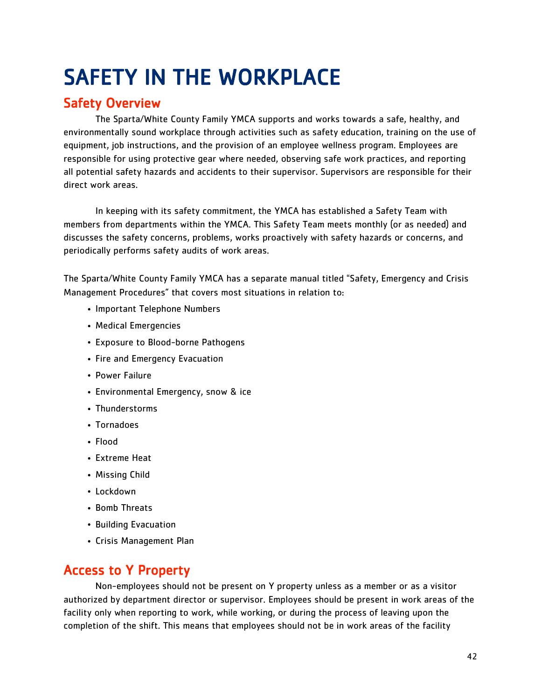## <span id="page-42-0"></span>SAFETY IN THE WORKPLACE

## Safety Overview

The Sparta/White County Family YMCA supports and works towards a safe, healthy, and environmentally sound workplace through activities such as safety education, training on the use of equipment, job instructions, and the provision of an employee wellness program. Employees are responsible for using protective gear where needed, observing safe work practices, and reporting all potential safety hazards and accidents to their supervisor. Supervisors are responsible for their direct work areas.

In keeping with its safety commitment, the YMCA has established a Safety Team with members from departments within the YMCA. This Safety Team meets monthly (or as needed) and discusses the safety concerns, problems, works proactively with safety hazards or concerns, and periodically performs safety audits of work areas.

The Sparta/White County Family YMCA has a separate manual titled "Safety, Emergency and Crisis Management Procedures" that covers most situations in relation to:

- Important Telephone Numbers
- Medical Emergencies
- Exposure to Blood-borne Pathogens
- Fire and Emergency Evacuation
- Power Failure
- Environmental Emergency, snow & ice
- Thunderstorms
- Tornadoes
- Flood
- Extreme Heat
- Missing Child
- Lockdown
- Bomb Threats
- Building Evacuation
- Crisis Management Plan

## Access to Y Property

Non-employees should not be present on Y property unless as a member or as a visitor authorized by department director or supervisor. Employees should be present in work areas of the facility only when reporting to work, while working, or during the process of leaving upon the completion of the shift. This means that employees should not be in work areas of the facility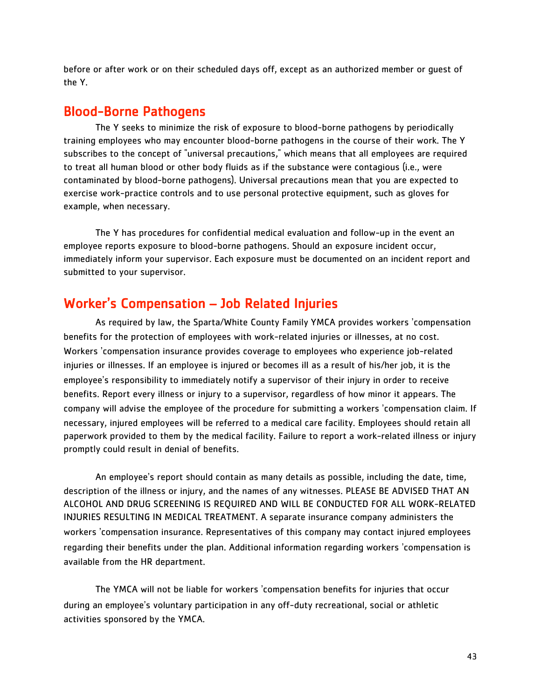before or after work or on their scheduled days off, except as an authorized member or guest of the Y.

#### Blood-Borne Pathogens

The Y seeks to minimize the risk of exposure to blood-borne pathogens by periodically training employees who may encounter blood-borne pathogens in the course of their work. The Y subscribes to the concept of "universal precautions," which means that all employees are required to treat all human blood or other body fluids as if the substance were contagious (i.e., were contaminated by blood-borne pathogens). Universal precautions mean that you are expected to exercise work-practice controls and to use personal protective equipment, such as gloves for example, when necessary.

The Y has procedures for confidential medical evaluation and follow-up in the event an employee reports exposure to blood-borne pathogens. Should an exposure incident occur, immediately inform your supervisor. Each exposure must be documented on an incident report and submitted to your supervisor.

### Worker's Compensation – Job Related Injuries

As required by law, the Sparta/White County Family YMCA provides workers 'compensation benefits for the protection of employees with work-related injuries or illnesses, at no cost. Workers 'compensation insurance provides coverage to employees who experience job-related injuries or illnesses. If an employee is injured or becomes ill as a result of his/her job, it is the employee's responsibility to immediately notify a supervisor of their injury in order to receive benefits. Report every illness or injury to a supervisor, regardless of how minor it appears. The company will advise the employee of the procedure for submitting a workers 'compensation claim. If necessary, injured employees will be referred to a medical care facility. Employees should retain all paperwork provided to them by the medical facility. Failure to report a work-related illness or injury promptly could result in denial of benefits.

An employee's report should contain as many details as possible, including the date, time, description of the illness or injury, and the names of any witnesses. PLEASE BE ADVISED THAT AN ALCOHOL AND DRUG SCREENING IS REQUIRED AND WILL BE CONDUCTED FOR ALL WORK-RELATED INJURIES RESULTING IN MEDICAL TREATMENT. A separate insurance company administers the workers 'compensation insurance. Representatives of this company may contact injured employees regarding their benefits under the plan. Additional information regarding workers 'compensation is available from the HR department.

The YMCA will not be liable for workers 'compensation benefits for injuries that occur during an employee's voluntary participation in any off-duty recreational, social or athletic activities sponsored by the YMCA.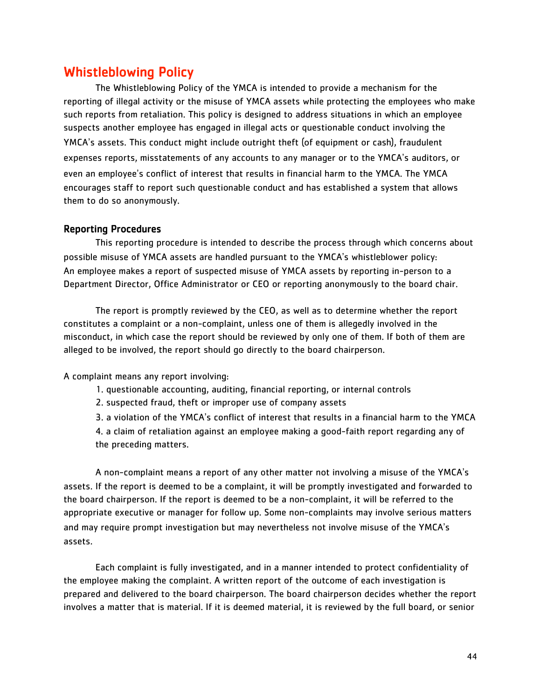### Whistleblowing Policy

The Whistleblowing Policy of the YMCA is intended to provide a mechanism for the reporting of illegal activity or the misuse of YMCA assets while protecting the employees who make such reports from retaliation. This policy is designed to address situations in which an employee suspects another employee has engaged in illegal acts or questionable conduct involving the YMCA's assets. This conduct might include outright theft (of equipment or cash), fraudulent expenses reports, misstatements of any accounts to any manager or to the YMCA's auditors, or even an employee's conflict of interest that results in financial harm to the YMCA. The YMCA encourages staff to report such questionable conduct and has established a system that allows them to do so anonymously.

#### Reporting Procedures

This reporting procedure is intended to describe the process through which concerns about possible misuse of YMCA assets are handled pursuant to the YMCA's whistleblower policy: An employee makes a report of suspected misuse of YMCA assets by reporting in-person to a Department Director, Office Administrator or CEO or reporting anonymously to the board chair.

The report is promptly reviewed by the CEO, as well as to determine whether the report constitutes a complaint or a non-complaint, unless one of them is allegedly involved in the misconduct, in which case the report should be reviewed by only one of them. If both of them are alleged to be involved, the report should go directly to the board chairperson.

A complaint means any report involving:

- 1. questionable accounting, auditing, financial reporting, or internal controls
- 2. suspected fraud, theft or improper use of company assets

3. a violation of the YMCA's conflict of interest that results in a financial harm to the YMCA

4. a claim of retaliation against an employee making a good-faith report regarding any of the preceding matters.

A non-complaint means a report of any other matter not involving a misuse of the YMCA's assets. If the report is deemed to be a complaint, it will be promptly investigated and forwarded to the board chairperson. If the report is deemed to be a non-complaint, it will be referred to the appropriate executive or manager for follow up. Some non-complaints may involve serious matters and may require prompt investigation but may nevertheless not involve misuse of the YMCA's assets.

Each complaint is fully investigated, and in a manner intended to protect confidentiality of the employee making the complaint. A written report of the outcome of each investigation is prepared and delivered to the board chairperson. The board chairperson decides whether the report involves a matter that is material. If it is deemed material, it is reviewed by the full board, or senior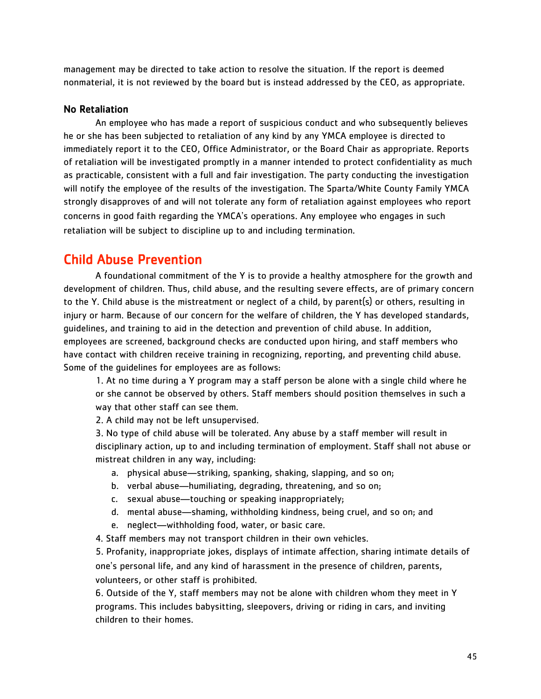management may be directed to take action to resolve the situation. If the report is deemed nonmaterial, it is not reviewed by the board but is instead addressed by the CEO, as appropriate.

#### No Retaliation

An employee who has made a report of suspicious conduct and who subsequently believes he or she has been subjected to retaliation of any kind by any YMCA employee is directed to immediately report it to the CEO, Office Administrator, or the Board Chair as appropriate. Reports of retaliation will be investigated promptly in a manner intended to protect confidentiality as much as practicable, consistent with a full and fair investigation. The party conducting the investigation will notify the employee of the results of the investigation. The Sparta/White County Family YMCA strongly disapproves of and will not tolerate any form of retaliation against employees who report concerns in good faith regarding the YMCA's operations. Any employee who engages in such retaliation will be subject to discipline up to and including termination.

## Child Abuse Prevention

A foundational commitment of the Y is to provide a healthy atmosphere for the growth and development of children. Thus, child abuse, and the resulting severe effects, are of primary concern to the Y. Child abuse is the mistreatment or neglect of a child, by parent(s) or others, resulting in injury or harm. Because of our concern for the welfare of children, the Y has developed standards, guidelines, and training to aid in the detection and prevention of child abuse. In addition, employees are screened, background checks are conducted upon hiring, and staff members who have contact with children receive training in recognizing, reporting, and preventing child abuse. Some of the guidelines for employees are as follows:

1. At no time during a Y program may a staff person be alone with a single child where he or she cannot be observed by others. Staff members should position themselves in such a way that other staff can see them.

2. A child may not be left unsupervised.

3. No type of child abuse will be tolerated. Any abuse by a staff member will result in disciplinary action, up to and including termination of employment. Staff shall not abuse or mistreat children in any way, including:

- a. physical abuse—striking, spanking, shaking, slapping, and so on;
- b. verbal abuse—humiliating, degrading, threatening, and so on;
- c. sexual abuse—touching or speaking inappropriately;
- d. mental abuse—shaming, withholding kindness, being cruel, and so on; and
- e. neglect—withholding food, water, or basic care.

4. Staff members may not transport children in their own vehicles.

5. Profanity, inappropriate jokes, displays of intimate affection, sharing intimate details of one's personal life, and any kind of harassment in the presence of children, parents, volunteers, or other staff is prohibited.

6. Outside of the Y, staff members may not be alone with children whom they meet in Y programs. This includes babysitting, sleepovers, driving or riding in cars, and inviting children to their homes.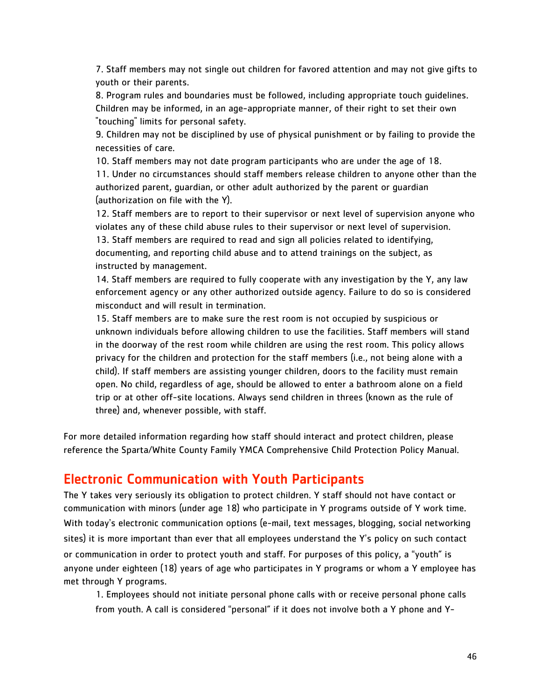7. Staff members may not single out children for favored attention and may not give gifts to youth or their parents.

8. Program rules and boundaries must be followed, including appropriate touch guidelines. Children may be informed, in an age-appropriate manner, of their right to set their own "touching" limits for personal safety.

9. Children may not be disciplined by use of physical punishment or by failing to provide the necessities of care.

10. Staff members may not date program participants who are under the age of 18. 11. Under no circumstances should staff members release children to anyone other than the authorized parent, guardian, or other adult authorized by the parent or guardian (authorization on file with the Y).

12. Staff members are to report to their supervisor or next level of supervision anyone who violates any of these child abuse rules to their supervisor or next level of supervision.

13. Staff members are required to read and sign all policies related to identifying, documenting, and reporting child abuse and to attend trainings on the subject, as instructed by management.

14. Staff members are required to fully cooperate with any investigation by the Y, any law enforcement agency or any other authorized outside agency. Failure to do so is considered misconduct and will result in termination.

15. Staff members are to make sure the rest room is not occupied by suspicious or unknown individuals before allowing children to use the facilities. Staff members will stand in the doorway of the rest room while children are using the rest room. This policy allows privacy for the children and protection for the staff members (i.e., not being alone with a child). If staff members are assisting younger children, doors to the facility must remain open. No child, regardless of age, should be allowed to enter a bathroom alone on a field trip or at other off-site locations. Always send children in threes (known as the rule of three) and, whenever possible, with staff.

For more detailed information regarding how staff should interact and protect children, please reference the Sparta/White County Family YMCA Comprehensive Child Protection Policy Manual.

## Electronic Communication with Youth Participants

The Y takes very seriously its obligation to protect children. Y staff should not have contact or communication with minors (under age 18) who participate in Y programs outside of Y work time. With today's electronic communication options (e-mail, text messages, blogging, social networking sites) it is more important than ever that all employees understand the Y's policy on such contact or communication in order to protect youth and staff. For purposes of this policy, a "youth" is anyone under eighteen (18) years of age who participates in Y programs or whom a Y employee has met through Y programs.

1. Employees should not initiate personal phone calls with or receive personal phone calls from youth. A call is considered "personal" if it does not involve both a Y phone and Y-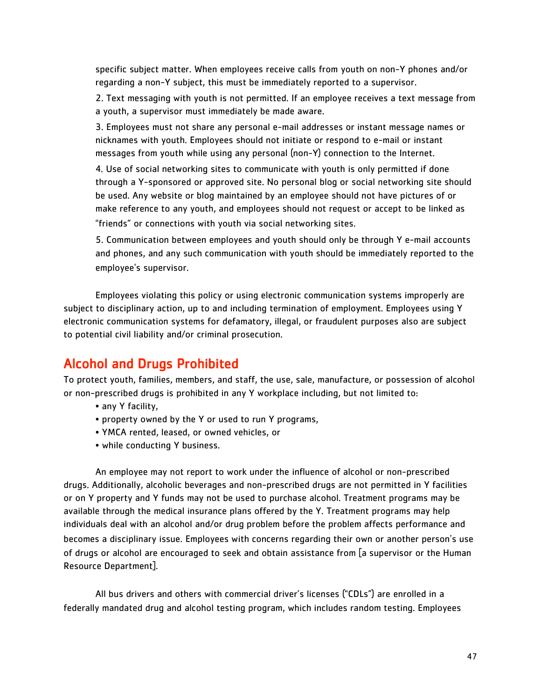specific subject matter. When employees receive calls from youth on non-Y phones and/or regarding a non-Y subject, this must be immediately reported to a supervisor.

2. Text messaging with youth is not permitted. If an employee receives a text message from a youth, a supervisor must immediately be made aware.

3. Employees must not share any personal e-mail addresses or instant message names or nicknames with youth. Employees should not initiate or respond to e-mail or instant messages from youth while using any personal (non-Y) connection to the Internet.

4. Use of social networking sites to communicate with youth is only permitted if done through a Y-sponsored or approved site. No personal blog or social networking site should be used. Any website or blog maintained by an employee should not have pictures of or make reference to any youth, and employees should not request or accept to be linked as "friends" or connections with youth via social networking sites.

5. Communication between employees and youth should only be through Y e-mail accounts and phones, and any such communication with youth should be immediately reported to the employee's supervisor.

Employees violating this policy or using electronic communication systems improperly are subject to disciplinary action, up to and including termination of employment. Employees using Y electronic communication systems for defamatory, illegal, or fraudulent purposes also are subject to potential civil liability and/or criminal prosecution.

## Alcohol and Drugs Prohibited

To protect youth, families, members, and staff, the use, sale, manufacture, or possession of alcohol or non-prescribed drugs is prohibited in any Y workplace including, but not limited to:

- any Y facility,
- property owned by the Y or used to run Y programs,
- YMCA rented, leased, or owned vehicles, or
- while conducting Y business.

An employee may not report to work under the influence of alcohol or non-prescribed drugs. Additionally, alcoholic beverages and non-prescribed drugs are not permitted in Y facilities or on Y property and Y funds may not be used to purchase alcohol. Treatment programs may be available through the medical insurance plans offered by the Y. Treatment programs may help individuals deal with an alcohol and/or drug problem before the problem affects performance and becomes a disciplinary issue. Employees with concerns regarding their own or another person's use of drugs or alcohol are encouraged to seek and obtain assistance from [a supervisor or the Human Resource Department].

All bus drivers and others with commercial driver's licenses ("CDLs") are enrolled in a federally mandated drug and alcohol testing program, which includes random testing. Employees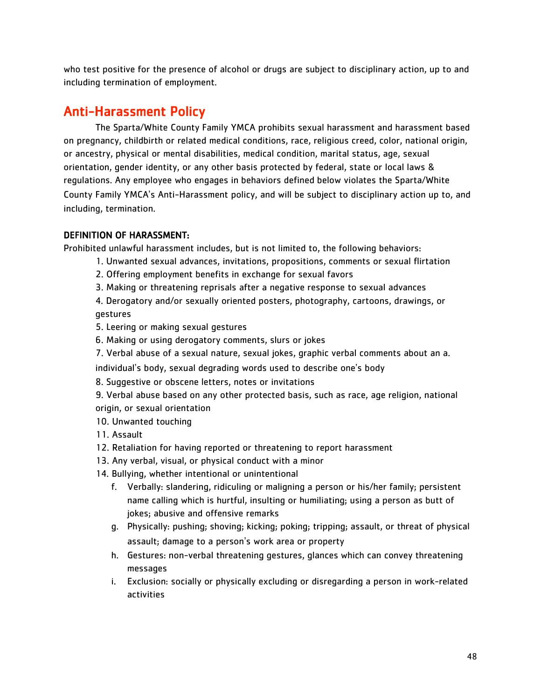who test positive for the presence of alcohol or drugs are subject to disciplinary action, up to and including termination of employment.

## Anti-Harassment Policy

The Sparta/White County Family YMCA prohibits sexual harassment and harassment based on pregnancy, childbirth or related medical conditions, race, religious creed, color, national origin, or ancestry, physical or mental disabilities, medical condition, marital status, age, sexual orientation, gender identity, or any other basis protected by federal, state or local laws & regulations. Any employee who engages in behaviors defined below violates the Sparta/White County Family YMCA's Anti-Harassment policy, and will be subject to disciplinary action up to, and including, termination.

#### DEFINITION OF HARASSMENT:

Prohibited unlawful harassment includes, but is not limited to, the following behaviors:

- 1. Unwanted sexual advances, invitations, propositions, comments or sexual flirtation
- 2. Offering employment benefits in exchange for sexual favors
- 3. Making or threatening reprisals after a negative response to sexual advances

4. Derogatory and/or sexually oriented posters, photography, cartoons, drawings, or gestures

- 5. Leering or making sexual gestures
- 6. Making or using derogatory comments, slurs or jokes
- 7. Verbal abuse of a sexual nature, sexual jokes, graphic verbal comments about an a.

individual's body, sexual degrading words used to describe one's body

- 8. Suggestive or obscene letters, notes or invitations
- 9. Verbal abuse based on any other protected basis, such as race, age religion, national origin, or sexual orientation
- 10. Unwanted touching
- 11. Assault
- 12. Retaliation for having reported or threatening to report harassment
- 13. Any verbal, visual, or physical conduct with a minor
- 14. Bullying, whether intentional or unintentional
	- f. Verbally: slandering, ridiculing or maligning a person or his/her family; persistent name calling which is hurtful, insulting or humiliating; using a person as butt of jokes; abusive and offensive remarks
	- g. Physically: pushing; shoving; kicking; poking; tripping; assault, or threat of physical assault; damage to a person's work area or property
	- h. Gestures: non-verbal threatening gestures, glances which can convey threatening messages
	- i. Exclusion: socially or physically excluding or disregarding a person in work-related activities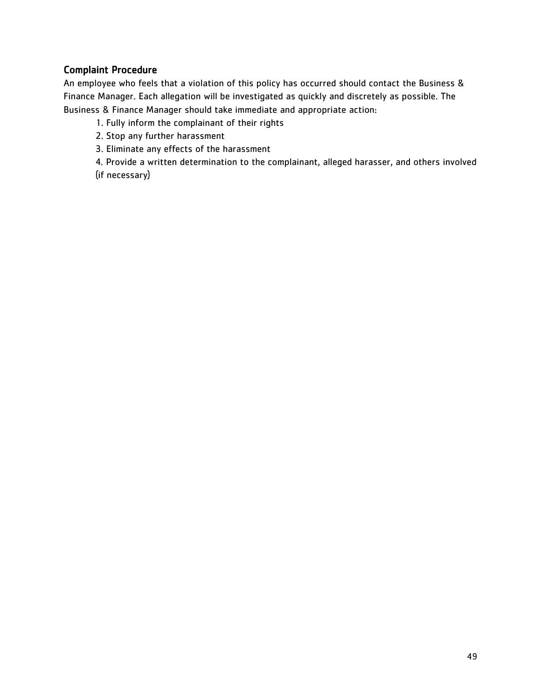#### Complaint Procedure

An employee who feels that a violation of this policy has occurred should contact the Business & Finance Manager. Each allegation will be investigated as quickly and discretely as possible. The Business & Finance Manager should take immediate and appropriate action:

- 1. Fully inform the complainant of their rights
- 2. Stop any further harassment
- 3. Eliminate any effects of the harassment

4. Provide a written determination to the complainant, alleged harasser, and others involved (if necessary)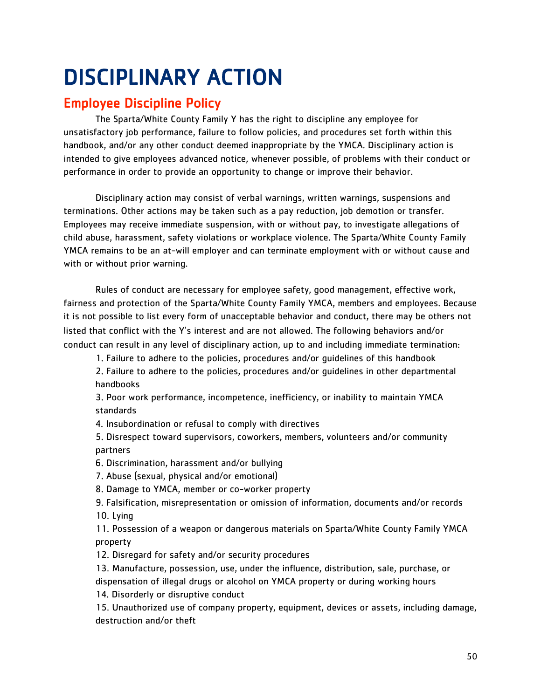## <span id="page-50-0"></span>DISCIPLINARY ACTION

## Employee Discipline Policy

The Sparta/White County Family Y has the right to discipline any employee for unsatisfactory job performance, failure to follow policies, and procedures set forth within this handbook, and/or any other conduct deemed inappropriate by the YMCA. Disciplinary action is intended to give employees advanced notice, whenever possible, of problems with their conduct or performance in order to provide an opportunity to change or improve their behavior.

Disciplinary action may consist of verbal warnings, written warnings, suspensions and terminations. Other actions may be taken such as a pay reduction, job demotion or transfer. Employees may receive immediate suspension, with or without pay, to investigate allegations of child abuse, harassment, safety violations or workplace violence. The Sparta/White County Family YMCA remains to be an at-will employer and can terminate employment with or without cause and with or without prior warning.

Rules of conduct are necessary for employee safety, good management, effective work, fairness and protection of the Sparta/White County Family YMCA, members and employees. Because it is not possible to list every form of unacceptable behavior and conduct, there may be others not listed that conflict with the Y's interest and are not allowed. The following behaviors and/or conduct can result in any level of disciplinary action, up to and including immediate termination:

1. Failure to adhere to the policies, procedures and/or guidelines of this handbook

2. Failure to adhere to the policies, procedures and/or guidelines in other departmental handbooks

3. Poor work performance, incompetence, inefficiency, or inability to maintain YMCA standards

4. Insubordination or refusal to comply with directives

5. Disrespect toward supervisors, coworkers, members, volunteers and/or community partners

6. Discrimination, harassment and/or bullying

7. Abuse (sexual, physical and/or emotional)

8. Damage to YMCA, member or co-worker property

9. Falsification, misrepresentation or omission of information, documents and/or records 10. Lying

11. Possession of a weapon or dangerous materials on Sparta/White County Family YMCA property

12. Disregard for safety and/or security procedures

13. Manufacture, possession, use, under the influence, distribution, sale, purchase, or dispensation of illegal drugs or alcohol on YMCA property or during working hours

14. Disorderly or disruptive conduct

15. Unauthorized use of company property, equipment, devices or assets, including damage, destruction and/or theft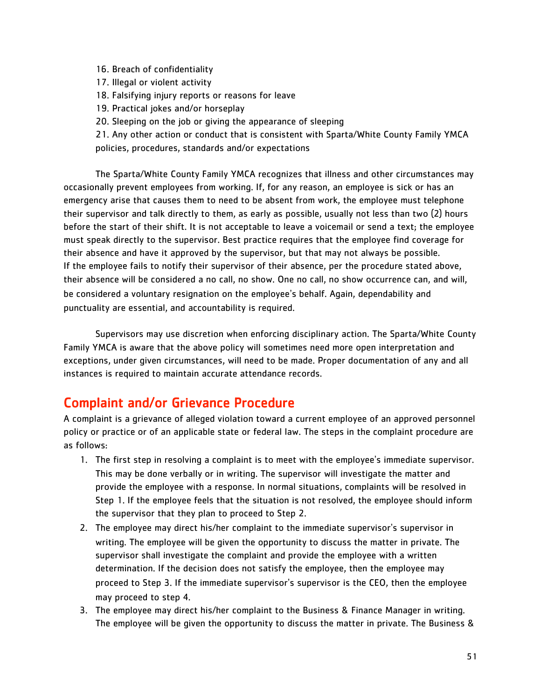- 16. Breach of confidentiality
- 17. Illegal or violent activity
- 18. Falsifying injury reports or reasons for leave
- 19. Practical jokes and/or horseplay
- 20. Sleeping on the job or giving the appearance of sleeping

21. Any other action or conduct that is consistent with Sparta/White County Family YMCA policies, procedures, standards and/or expectations

The Sparta/White County Family YMCA recognizes that illness and other circumstances may occasionally prevent employees from working. If, for any reason, an employee is sick or has an emergency arise that causes them to need to be absent from work, the employee must telephone their supervisor and talk directly to them, as early as possible, usually not less than two (2) hours before the start of their shift. It is not acceptable to leave a voicemail or send a text; the employee must speak directly to the supervisor. Best practice requires that the employee find coverage for their absence and have it approved by the supervisor, but that may not always be possible. If the employee fails to notify their supervisor of their absence, per the procedure stated above, their absence will be considered a no call, no show. One no call, no show occurrence can, and will, be considered a voluntary resignation on the employee's behalf. Again, dependability and punctuality are essential, and accountability is required.

Supervisors may use discretion when enforcing disciplinary action. The Sparta/White County Family YMCA is aware that the above policy will sometimes need more open interpretation and exceptions, under given circumstances, will need to be made. Proper documentation of any and all instances is required to maintain accurate attendance records.

## Complaint and/or Grievance Procedure

A complaint is a grievance of alleged violation toward a current employee of an approved personnel policy or practice or of an applicable state or federal law. The steps in the complaint procedure are as follows:

- 1. The first step in resolving a complaint is to meet with the employee's immediate supervisor. This may be done verbally or in writing. The supervisor will investigate the matter and provide the employee with a response. In normal situations, complaints will be resolved in Step 1. If the employee feels that the situation is not resolved, the employee should inform the supervisor that they plan to proceed to Step 2.
- 2. The employee may direct his/her complaint to the immediate supervisor's supervisor in writing. The employee will be given the opportunity to discuss the matter in private. The supervisor shall investigate the complaint and provide the employee with a written determination. If the decision does not satisfy the employee, then the employee may proceed to Step 3. If the immediate supervisor's supervisor is the CEO, then the employee may proceed to step 4.
- 3. The employee may direct his/her complaint to the Business & Finance Manager in writing. The employee will be given the opportunity to discuss the matter in private. The Business &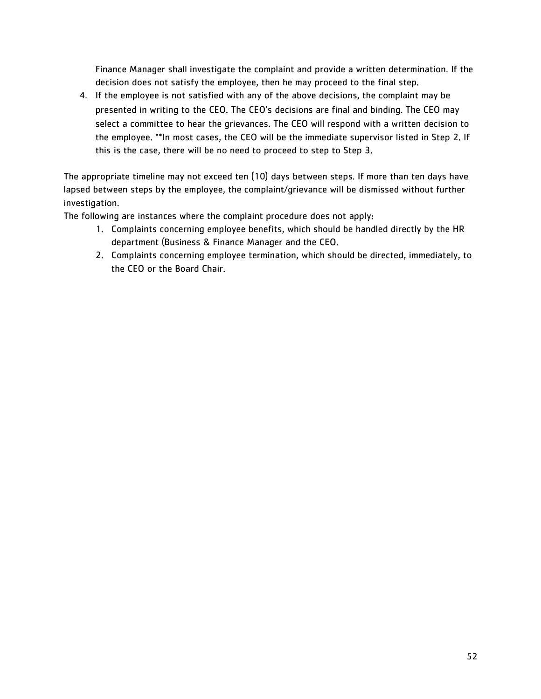Finance Manager shall investigate the complaint and provide a written determination. If the decision does not satisfy the employee, then he may proceed to the final step.

4. If the employee is not satisfied with any of the above decisions, the complaint may be presented in writing to the CEO. The CEO's decisions are final and binding. The CEO may select a committee to hear the grievances. The CEO will respond with a written decision to the employee. \*\*In most cases, the CEO will be the immediate supervisor listed in Step 2. If this is the case, there will be no need to proceed to step to Step 3.

The appropriate timeline may not exceed ten (10) days between steps. If more than ten days have lapsed between steps by the employee, the complaint/grievance will be dismissed without further investigation.

The following are instances where the complaint procedure does not apply:

- 1. Complaints concerning employee benefits, which should be handled directly by the HR department (Business & Finance Manager and the CEO.
- 2. Complaints concerning employee termination, which should be directed, immediately, to the CEO or the Board Chair.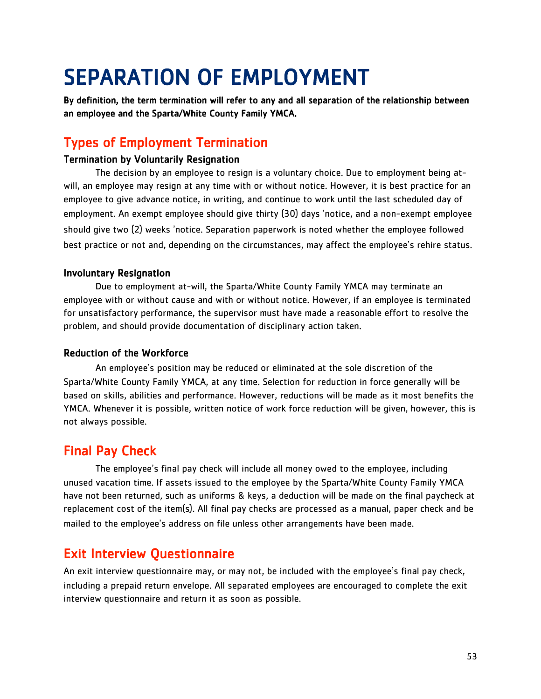## <span id="page-53-0"></span>SEPARATION OF EMPLOYMENT

By definition, the term termination will refer to any and all separation of the relationship between an employee and the Sparta/White County Family YMCA.

## Types of Employment Termination

#### Termination by Voluntarily Resignation

The decision by an employee to resign is a voluntary choice. Due to employment being atwill, an employee may resign at any time with or without notice. However, it is best practice for an employee to give advance notice, in writing, and continue to work until the last scheduled day of employment. An exempt employee should give thirty (30) days 'notice, and a non-exempt employee should give two (2) weeks 'notice. Separation paperwork is noted whether the employee followed best practice or not and, depending on the circumstances, may affect the employee's rehire status.

#### Involuntary Resignation

Due to employment at-will, the Sparta/White County Family YMCA may terminate an employee with or without cause and with or without notice. However, if an employee is terminated for unsatisfactory performance, the supervisor must have made a reasonable effort to resolve the problem, and should provide documentation of disciplinary action taken.

#### Reduction of the Workforce

An employee's position may be reduced or eliminated at the sole discretion of the Sparta/White County Family YMCA, at any time. Selection for reduction in force generally will be based on skills, abilities and performance. However, reductions will be made as it most benefits the YMCA. Whenever it is possible, written notice of work force reduction will be given, however, this is not always possible.

## Final Pay Check

The employee's final pay check will include all money owed to the employee, including unused vacation time. If assets issued to the employee by the Sparta/White County Family YMCA have not been returned, such as uniforms & keys, a deduction will be made on the final paycheck at replacement cost of the item(s). All final pay checks are processed as a manual, paper check and be mailed to the employee's address on file unless other arrangements have been made.

## Exit Interview Questionnaire

An exit interview questionnaire may, or may not, be included with the employee's final pay check, including a prepaid return envelope. All separated employees are encouraged to complete the exit interview questionnaire and return it as soon as possible.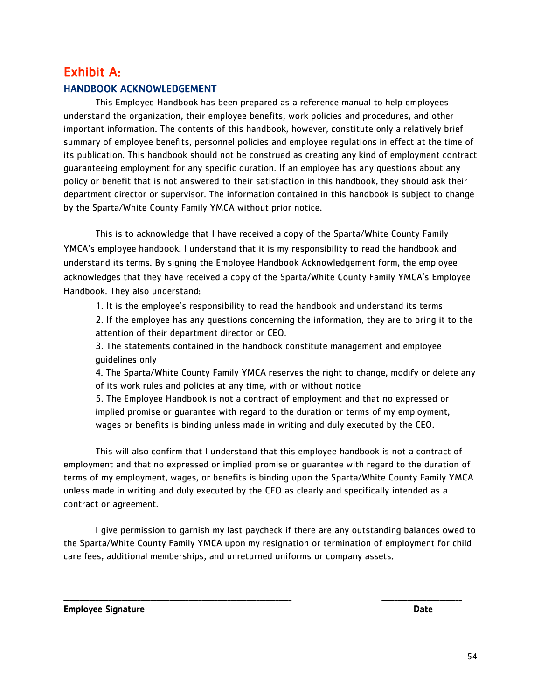## <span id="page-54-0"></span>Exhibit A: HANDBOOK ACKNOWLEDGEMENT

This Employee Handbook has been prepared as a reference manual to help employees understand the organization, their employee benefits, work policies and procedures, and other important information. The contents of this handbook, however, constitute only a relatively brief summary of employee benefits, personnel policies and employee regulations in effect at the time of its publication. This handbook should not be construed as creating any kind of employment contract guaranteeing employment for any specific duration. If an employee has any questions about any policy or benefit that is not answered to their satisfaction in this handbook, they should ask their department director or supervisor. The information contained in this handbook is subject to change by the Sparta/White County Family YMCA without prior notice.

This is to acknowledge that I have received a copy of the Sparta/White County Family YMCA's employee handbook. I understand that it is my responsibility to read the handbook and understand its terms. By signing the Employee Handbook Acknowledgement form, the employee acknowledges that they have received a copy of the Sparta/White County Family YMCA's Employee Handbook. They also understand:

1. It is the employee's responsibility to read the handbook and understand its terms

2. If the employee has any questions concerning the information, they are to bring it to the attention of their department director or CEO.

3. The statements contained in the handbook constitute management and employee guidelines only

4. The Sparta/White County Family YMCA reserves the right to change, modify or delete any of its work rules and policies at any time, with or without notice

5. The Employee Handbook is not a contract of employment and that no expressed or implied promise or guarantee with regard to the duration or terms of my employment, wages or benefits is binding unless made in writing and duly executed by the CEO.

This will also confirm that I understand that this employee handbook is not a contract of employment and that no expressed or implied promise or guarantee with regard to the duration of terms of my employment, wages, or benefits is binding upon the Sparta/White County Family YMCA unless made in writing and duly executed by the CEO as clearly and specifically intended as a contract or agreement.

I give permission to garnish my last paycheck if there are any outstanding balances owed to the Sparta/White County Family YMCA upon my resignation or termination of employment for child care fees, additional memberships, and unreturned uniforms or company assets.

\_\_\_\_\_\_\_\_\_\_\_\_\_\_\_\_\_\_\_\_\_\_\_\_\_\_\_\_\_\_\_\_\_\_\_\_\_\_\_\_\_\_\_\_\_\_\_\_\_\_\_\_\_\_\_\_\_\_\_\_\_\_\_\_\_\_\_\_\_\_\_ \_\_\_\_\_\_\_\_\_\_\_\_\_\_\_\_\_\_\_\_\_\_\_\_\_

Employee Signature **Date**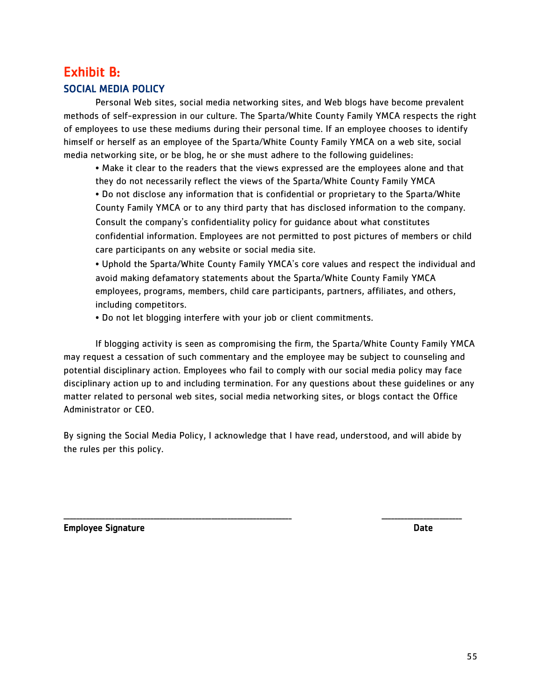## <span id="page-55-0"></span>Exhibit B: SOCIAL MEDIA POLICY

Personal Web sites, social media networking sites, and Web blogs have become prevalent methods of self-expression in our culture. The Sparta/White County Family YMCA respects the right of employees to use these mediums during their personal time. If an employee chooses to identify himself or herself as an employee of the Sparta/White County Family YMCA on a web site, social media networking site, or be blog, he or she must adhere to the following guidelines:

• Make it clear to the readers that the views expressed are the employees alone and that they do not necessarily reflect the views of the Sparta/White County Family YMCA

• Do not disclose any information that is confidential or proprietary to the Sparta/White County Family YMCA or to any third party that has disclosed information to the company. Consult the company's confidentiality policy for guidance about what constitutes confidential information. Employees are not permitted to post pictures of members or child care participants on any website or social media site.

• Uphold the Sparta/White County Family YMCA's core values and respect the individual and avoid making defamatory statements about the Sparta/White County Family YMCA employees, programs, members, child care participants, partners, affiliates, and others, including competitors.

• Do not let blogging interfere with your job or client commitments.

If blogging activity is seen as compromising the firm, the Sparta/White County Family YMCA may request a cessation of such commentary and the employee may be subject to counseling and potential disciplinary action. Employees who fail to comply with our social media policy may face disciplinary action up to and including termination. For any questions about these guidelines or any matter related to personal web sites, social media networking sites, or blogs contact the Office Administrator or CEO.

By signing the Social Media Policy, I acknowledge that I have read, understood, and will abide by the rules per this policy.

\_\_\_\_\_\_\_\_\_\_\_\_\_\_\_\_\_\_\_\_\_\_\_\_\_\_\_\_\_\_\_\_\_\_\_\_\_\_\_\_\_\_\_\_\_\_\_\_\_\_\_\_\_\_\_\_\_\_\_\_\_\_\_\_\_\_\_\_\_\_\_ \_\_\_\_\_\_\_\_\_\_\_\_\_\_\_\_\_\_\_\_\_\_\_\_\_

Employee Signature **Date** Date of the Date of the Date of the Date of the Date of the Date of the Date of the Date of the Date of the Date of the Date of the Date of the Date of the Date of the Date of the Date of the Date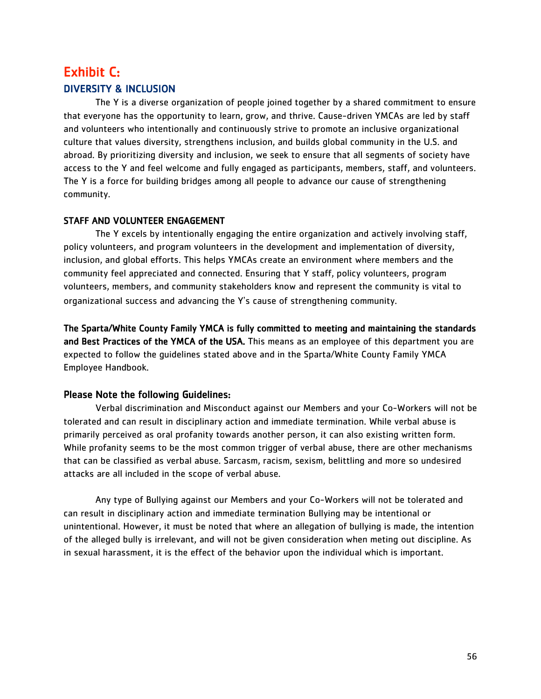## <span id="page-56-0"></span>Exhibit C: DIVERSITY & INCLUSION

The Y is a diverse organization of people joined together by a shared commitment to ensure that everyone has the opportunity to learn, grow, and thrive. Cause-driven YMCAs are led by staff and volunteers who intentionally and continuously strive to promote an inclusive organizational culture that values diversity, strengthens inclusion, and builds global community in the U.S. and abroad. By prioritizing diversity and inclusion, we seek to ensure that all segments of society have access to the Y and feel welcome and fully engaged as participants, members, staff, and volunteers. The Y is a force for building bridges among all people to advance our cause of strengthening community.

#### STAFF AND VOLUNTEER ENGAGEMENT

The Y excels by intentionally engaging the entire organization and actively involving staff, policy volunteers, and program volunteers in the development and implementation of diversity, inclusion, and global efforts. This helps YMCAs create an environment where members and the community feel appreciated and connected. Ensuring that Y staff, policy volunteers, program volunteers, members, and community stakeholders know and represent the community is vital to organizational success and advancing the Y's cause of strengthening community.

The Sparta/White County Family YMCA is fully committed to meeting and maintaining the standards and Best Practices of the YMCA of the USA. This means as an employee of this department you are expected to follow the guidelines stated above and in the Sparta/White County Family YMCA Employee Handbook.

#### Please Note the following Guidelines:

Verbal discrimination and Misconduct against our Members and your Co-Workers will not be tolerated and can result in disciplinary action and immediate termination. While verbal abuse is primarily perceived as oral profanity towards another person, it can also existing written form. While profanity seems to be the most common trigger of verbal abuse, there are other mechanisms that can be classified as verbal abuse. Sarcasm, racism, sexism, belittling and more so undesired attacks are all included in the scope of verbal abuse.

Any type of Bullying against our Members and your Co-Workers will not be tolerated and can result in disciplinary action and immediate termination Bullying may be intentional or unintentional. However, it must be noted that where an allegation of bullying is made, the intention of the alleged bully is irrelevant, and will not be given consideration when meting out discipline. As in sexual harassment, it is the effect of the behavior upon the individual which is important.